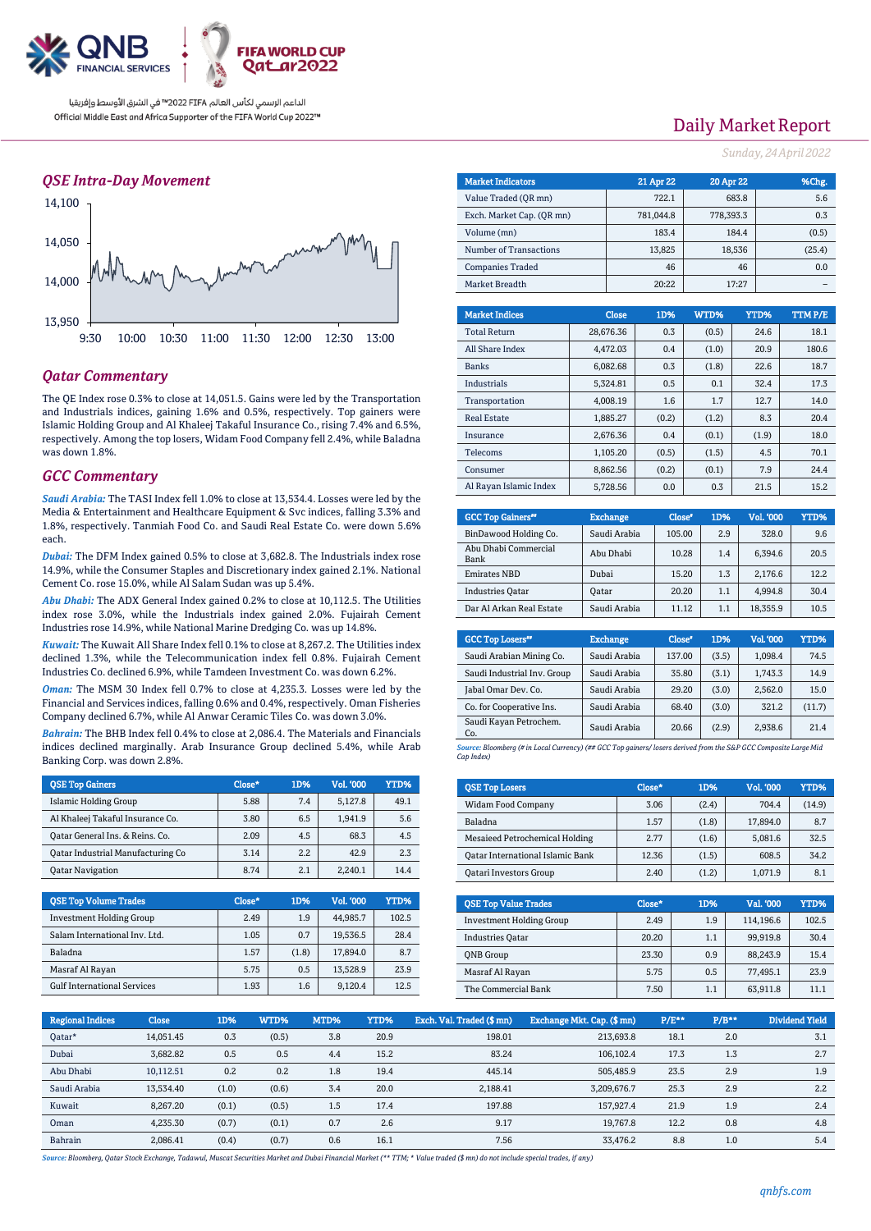

### *QSE Intra-Day Movement*



### *Qatar Commentary*

The QE Index rose 0.3% to close at 14,051.5. Gains were led by the Transportation and Industrials indices, gaining 1.6% and 0.5%, respectively. Top gainers were Islamic Holding Group and Al Khaleej Takaful Insurance Co., rising 7.4% and 6.5%, respectively. Among the top losers, Widam Food Company fell 2.4%, while Baladna was down 1.8%.

### *GCC Commentary*

*Saudi Arabia:* The TASI Index fell 1.0% to close at 13,534.4. Losses were led by the Media & Entertainment and Healthcare Equipment & Svc indices, falling 3.3% and 1.8%, respectively. Tanmiah Food Co. and Saudi Real Estate Co. were down 5.6% each.

*Dubai:* The DFM Index gained 0.5% to close at 3,682.8. The Industrials index rose 14.9%, while the Consumer Staples and Discretionary index gained 2.1%. National Cement Co. rose 15.0%, while Al Salam Sudan was up 5.4%.

*Abu Dhabi:* The ADX General Index gained 0.2% to close at 10,112.5. The Utilities index rose 3.0%, while the Industrials index gained 2.0%. Fujairah Cement Industries rose 14.9%, while National Marine Dredging Co. was up 14.8%.

*Kuwait:* The Kuwait All Share Index fell 0.1% to close at 8,267.2. The Utilities index declined 1.3%, while the Telecommunication index fell 0.8%. Fujairah Cement Industries Co. declined 6.9%, while Tamdeen Investment Co. was down 6.2%.

*Oman:* The MSM 30 Index fell 0.7% to close at 4,235.3. Losses were led by the Financial and Services indices, falling 0.6% and 0.4%, respectively. Oman Fisheries Company declined 6.7%, while Al Anwar Ceramic Tiles Co. was down 3.0%.

*Bahrain:* The BHB Index fell 0.4% to close at 2,086.4. The Materials and Financials indices declined marginally. Arab Insurance Group declined 5.4%, while Arab Banking Corp. was down 2.8%.

| <b>OSE Top Gainers</b>            | Close* | 1D% | <b>Vol. '000</b> | YTD% |
|-----------------------------------|--------|-----|------------------|------|
| <b>Islamic Holding Group</b>      | 5.88   | 7.4 | 5.127.8          | 49.1 |
| Al Khaleej Takaful Insurance Co.  | 3.80   | 6.5 | 1,941.9          | 5.6  |
| Oatar General Ins. & Reins. Co.   | 2.09   | 4.5 | 68.3             | 4.5  |
| Qatar Industrial Manufacturing Co | 3.14   | 2.2 | 42.9             | 2.3  |
| <b>Oatar Navigation</b>           | 8.74   | 2.1 | 2.240.1          | 14.4 |

| <b>OSE Top Volume Trades</b>       | Close* | 1D%   | <b>Vol. '000</b> | YTD%  |
|------------------------------------|--------|-------|------------------|-------|
| <b>Investment Holding Group</b>    | 2.49   | 1.9   | 44,985.7         | 102.5 |
| Salam International Inv. Ltd.      | 1.05   | 0.7   | 19,536.5         | 28.4  |
| Baladna                            | 1.57   | (1.8) | 17,894.0         | 8.7   |
| Masraf Al Rayan                    | 5.75   | 0.5   | 13,528.9         | 23.9  |
| <b>Gulf International Services</b> | 1.93   | 1.6   | 9.120.4          | 12.5  |

# Daily Market Report

*Sunday, 24April2022*

| <b>Market Indicators</b>  |          |              | 21 Apr 22 | 20 Apr 22 |        | %Chg.  |  |
|---------------------------|----------|--------------|-----------|-----------|--------|--------|--|
| Value Traded (OR mn)      |          |              | 722.1     |           | 683.8  | 5.6    |  |
| Exch. Market Cap. (QR mn) |          | 781,044.8    | 778,393.3 |           | 0.3    |        |  |
| Volume (mn)               |          | 183.4        |           | 184.4     | (0.5)  |        |  |
| Number of Transactions    |          | 13,825       |           | 18,536    | (25.4) |        |  |
| <b>Companies Traded</b>   |          | 46           |           | 46        | 0.0    |        |  |
| Market Breadth            |          |              | 20:22     |           | 17:27  |        |  |
|                           |          |              |           |           |        |        |  |
| <b>Market Indices</b>     |          | <b>Close</b> | 1D%       | WTD%      | YTD%   | TTMP/E |  |
| <b>Total Return</b>       |          | 28,676.36    | 0.3       | (0.5)     | 24.6   | 18.1   |  |
| All Share Index           |          | 4,472.03     | 0.4       | (1.0)     | 20.9   | 180.6  |  |
| <b>Banks</b>              |          | 6,082.68     | 0.3       | (1.8)     | 22.6   | 18.7   |  |
| <b>Industrials</b>        |          | 5,324.81     | 0.5       | 0.1       | 32.4   | 17.3   |  |
| Transportation            |          | 4,008.19     | 1.6       | 1.7       | 12.7   | 14.0   |  |
| <b>Real Estate</b>        |          | 1,885.27     | (0.2)     | (1.2)     | 8.3    | 20.4   |  |
| Insurance                 | 2,676.36 |              | 0.4       | (0.1)     | (1.9)  | 18.0   |  |
| Telecoms                  |          | 1,105.20     | (0.5)     | (1.5)     | 4.5    | 70.1   |  |
| Consumer                  |          | 8.862.56     | (0.2)     | (0.1)     | 7.9    | 24.4   |  |

| <b>GCC Top Gainers</b> "     | <b>Exchange</b> | Close* | 1D% | Vol. '000 | YTD% |
|------------------------------|-----------------|--------|-----|-----------|------|
| BinDawood Holding Co.        | Saudi Arabia    | 105.00 | 2.9 | 328.0     | 9.6  |
| Abu Dhabi Commercial<br>Bank | Abu Dhabi       | 10.28  | 1.4 | 6.394.6   | 20.5 |
| <b>Emirates NBD</b>          | Dubai           | 15.20  | 1.3 | 2.176.6   | 12.2 |
| <b>Industries Oatar</b>      | Oatar           | 20.20  | 1.1 | 4.994.8   | 30.4 |
| Dar Al Arkan Real Estate     | Saudi Arabia    | 11.12  | 1.1 | 18,355.9  | 10.5 |

Al Rayan Islamic Index | 5,728.56 0.0 0.3 21.5 15.2

| <b>GCC Top Losers</b> "       | <b>Exchange</b> | Close <sup>®</sup> | 1D%   | Vol. '000 | YTD%   |
|-------------------------------|-----------------|--------------------|-------|-----------|--------|
| Saudi Arabian Mining Co.      | Saudi Arabia    | 137.00             | (3.5) | 1,098.4   | 74.5   |
| Saudi Industrial Inv. Group   | Saudi Arabia    | 35.80              | (3.1) | 1.743.3   | 14.9   |
| Jabal Omar Dev. Co.           | Saudi Arabia    | 29.20              | (3.0) | 2,562.0   | 15.0   |
| Co. for Cooperative Ins.      | Saudi Arabia    | 68.40              | (3.0) | 321.2     | (11.7) |
| Saudi Kayan Petrochem.<br>Co. | Saudi Arabia    | 20.66              | (2.9) | 2,938.6   | 21.4   |

*Source: Bloomberg (# in Local Currency) (## GCC Top gainers/ losers derived from the S&P GCC Composite Large Mid Cap Index)*

| <b>OSE Top Losers</b>                   | Close* | 1D%   | Vol. '000 | <b>YTD%</b> |
|-----------------------------------------|--------|-------|-----------|-------------|
| <b>Widam Food Company</b>               | 3.06   | (2.4) | 704.4     | (14.9)      |
| Baladna                                 | 1.57   | (1.8) | 17.894.0  | 8.7         |
| Mesaieed Petrochemical Holding          | 2.77   | (1.6) | 5.081.6   | 32.5        |
| <b>Qatar International Islamic Bank</b> | 12.36  | (1.5) | 608.5     | 34.2        |
| <b>Qatari Investors Group</b>           | 2.40   | (1.2) | 1.071.9   | 8.1         |

| <b>OSE Top Value Trades</b>     | Close* | 1D%     | Val. '000 | YTD%  |
|---------------------------------|--------|---------|-----------|-------|
| <b>Investment Holding Group</b> | 2.49   | 1.9     | 114,196.6 | 102.5 |
| <b>Industries Oatar</b>         | 20.20  | 1.1     | 99.919.8  | 30.4  |
| <b>ONB</b> Group                | 23.30  | 0.9     | 88.243.9  | 15.4  |
| Masraf Al Rayan                 | 5.75   | 0.5     | 77,495.1  | 23.9  |
| The Commercial Bank             | 7.50   | $1.1\,$ | 63,911.8  | 11 1  |

| <b>Regional Indices</b> | <b>Close</b> | 1D%   | WTD%  | MTD% | YTD% | Exch. Val. Traded (\$mn) | Exchange Mkt. Cap. (\$mn) | P/E** | $P/B**$ | <b>Dividend Yield</b> |
|-------------------------|--------------|-------|-------|------|------|--------------------------|---------------------------|-------|---------|-----------------------|
| Qatar*                  | 14,051.45    | 0.3   | (0.5) | 3.8  | 20.9 | 198.01                   | 213,693.8                 | 18.1  | 2.0     | 3.1                   |
| Dubai                   | 3.682.82     | 0.5   | 0.5   | 4.4  | 15.2 | 83.24                    | 106.102.4                 | 17.3  | 1.3     | 2.7                   |
| Abu Dhabi               | 10.112.51    | 0.2   | 0.2   | 1.8  | 19.4 | 445.14                   | 505.485.9                 | 23.5  | 2.9     | 1.9                   |
| Saudi Arabia            | 13.534.40    | (1.0) | (0.6) | 3.4  | 20.0 | 2,188.41                 | 3,209,676.7               | 25.3  | 2.9     | 2.2                   |
| Kuwait                  | 8.267.20     | (0.1) | (0.5) | 1.5  | 17.4 | 197.88                   | 157.927.4                 | 21.9  | 1.9     | 2.4                   |
| Oman                    | 4.235.30     | (0.7) | (0.1) | 0.7  | 2.6  | 9.17                     | 19.767.8                  | 12.2  | 0.8     | 4.8                   |
| Bahrain                 | 2.086.41     | (0.4) | (0.7) | 0.6  | 16.1 | 7.56                     | 33.476.2                  | 8.8   | 1.0     | 5.4                   |

*Source: Bloomberg, Qatar Stock Exchange, Tadawul, Muscat Securities Market and Dubai Financial Market (\*\* TTM; \* Value traded (\$ mn) do not include special trades, if any)*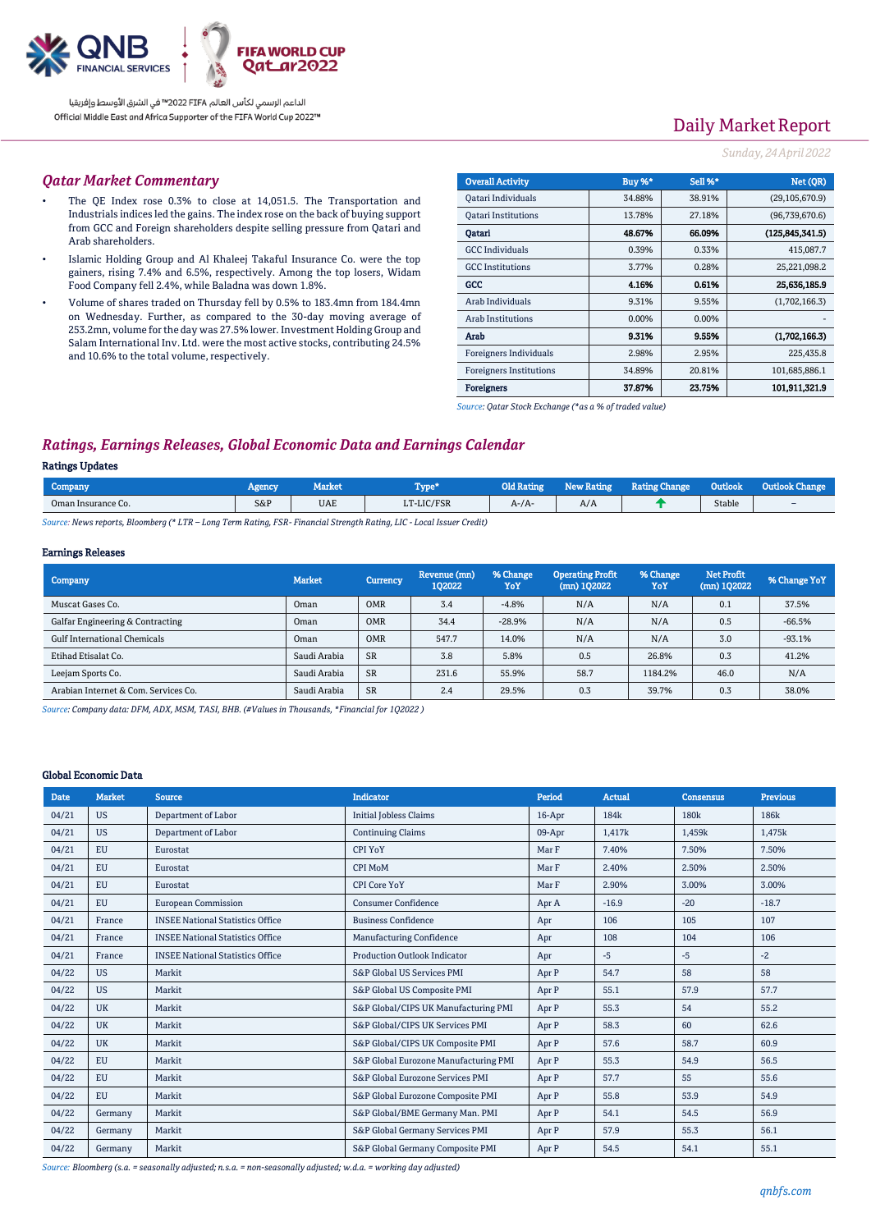

# Daily Market Report

#### *Sunday, 24April2022*

#### *Qatar Market Commentary*

- The QE Index rose 0.3% to close at 14,051.5. The Transportation and Industrials indices led the gains. The index rose on the back of buying support from GCC and Foreign shareholders despite selling pressure from Qatari and Arab shareholders.
- Islamic Holding Group and Al Khaleej Takaful Insurance Co. were the top gainers, rising 7.4% and 6.5%, respectively. Among the top losers, Widam Food Company fell 2.4%, while Baladna was down 1.8%.
- Volume of shares traded on Thursday fell by 0.5% to 183.4mn from 184.4mn on Wednesday. Further, as compared to the 30-day moving average of 253.2mn, volume for the day was 27.5% lower. Investment Holding Group and Salam International Inv. Ltd. were the most active stocks, contributing 24.5% and 10.6% to the total volume, respectively.

| <b>Overall Activity</b>        | <b>Buy %*</b> | Sell %* | Net (QR)         |
|--------------------------------|---------------|---------|------------------|
| Qatari Individuals             | 34.88%        | 38.91%  | (29, 105, 670.9) |
| <b>Oatari Institutions</b>     | 13.78%        | 27.18%  | (96,739,670.6)   |
| Oatari                         | 48.67%        | 66.09%  | (125.845.341.5)  |
| <b>GCC</b> Individuals         | 0.39%         | 0.33%   | 415,087.7        |
| <b>GCC</b> Institutions        | 3.77%         | 0.28%   | 25,221,098.2     |
| GCC                            | 4.16%         | 0.61%   | 25.636.185.9     |
| Arab Individuals               | 9.31%         | 9.55%   | (1,702,166.3)    |
| Arab Institutions              | $0.00\%$      | 0.00%   |                  |
| Arab                           | 9.31%         | 9.55%   | (1,702,166,3)    |
| Foreigners Individuals         | 2.98%         | 2.95%   | 225,435.8        |
| <b>Foreigners Institutions</b> | 34.89%        | 20.81%  | 101,685,886.1    |
| <b>Foreigners</b>              | 37.87%        | 23.75%  | 101.911.321.9    |

*Source: Qatar Stock Exchange (\*as a % of traded value)*

## *Ratings, Earnings Releases, Global Economic Data and Earnings Calendar*

#### Ratings Updates

| Company            | Agency | Market | l'ype*     | <b>Old Rating</b>  | <b>New Kating</b> | <b>Rating Change</b> | Outlook | <b>COLLOOK Change</b>    |
|--------------------|--------|--------|------------|--------------------|-------------------|----------------------|---------|--------------------------|
| Oman Insurance Co. | S&P    | UAE    | LT-LIC/FSR | .<br>$A^{-}/A^{-}$ | A/A               |                      | Stable  | $\overline{\phantom{a}}$ |
|                    |        |        |            |                    |                   |                      |         |                          |

*Source: News reports, Bloomberg (\* LTR – Long Term Rating, FSR- Financial Strength Rating, LIC - Local Issuer Credit)*

#### Earnings Releases

| Company                              | <b>Market</b> | <b>Currency</b> | Revenue (mn)<br>102022 | % Change<br>YoY | <b>Operating Profit</b><br>$(mn)$ 102022 | % Change<br>YoY | <b>Net Profit</b><br>$(mn)$ 102022 | % Change YoY |
|--------------------------------------|---------------|-----------------|------------------------|-----------------|------------------------------------------|-----------------|------------------------------------|--------------|
| Muscat Gases Co.                     | Oman          | <b>OMR</b>      | 3.4                    | $-4.8%$         | N/A                                      | N/A             | 0.1                                | 37.5%        |
| Galfar Engineering & Contracting     | Oman          | <b>OMR</b>      | 34.4                   | $-28.9%$        | N/A                                      | N/A             | 0.5                                | $-66.5%$     |
| <b>Gulf International Chemicals</b>  | Oman          | <b>OMR</b>      | 547.7                  | 14.0%           | N/A                                      | N/A             | 3.0                                | $-93.1%$     |
| Etihad Etisalat Co.                  | Saudi Arabia  | <b>SR</b>       | 3.8                    | 5.8%            | 0.5                                      | 26.8%           | 0.3                                | 41.2%        |
| Leejam Sports Co.                    | Saudi Arabia  | <b>SR</b>       | 231.6                  | 55.9%           | 58.7                                     | 1184.2%         | 46.0                               | N/A          |
| Arabian Internet & Com. Services Co. | Saudi Arabia  | <b>SR</b>       | 2.4                    | 29.5%           | 0.3                                      | 39.7%           | 0.3                                | 38.0%        |

*Source: Company data: DFM, ADX, MSM, TASI, BHB. (#Values in Thousands, \*Financial for 1Q2022 )*

#### Global Economic Data

| Date  | <b>Market</b> | <b>Source</b>                           | <b>Indicator</b>                      | Period | <b>Actual</b> | <b>Consensus</b> | <b>Previous</b> |
|-------|---------------|-----------------------------------------|---------------------------------------|--------|---------------|------------------|-----------------|
| 04/21 | <b>US</b>     | Department of Labor                     | <b>Initial Jobless Claims</b>         | 16-Apr | 184k          | 180 <sub>k</sub> | 186k            |
| 04/21 | <b>US</b>     | Department of Labor                     | <b>Continuing Claims</b>              | 09-Apr | 1.417k        | 1,459k           | 1.475k          |
| 04/21 | ${\rm EU}$    | Eurostat                                | CPI YoY                               | Mar F  | 7.40%         | 7.50%            | 7.50%           |
| 04/21 | <b>EU</b>     | Eurostat                                | CPI MoM                               | Mar F  | 2.40%         | 2.50%            | 2.50%           |
| 04/21 | EU            | Eurostat                                | <b>CPI Core YoY</b>                   | Mar F  | 2.90%         | 3.00%            | 3.00%           |
| 04/21 | <b>EU</b>     | <b>European Commission</b>              | <b>Consumer Confidence</b>            | Apr A  | $-16.9$       | $-20$            | $-18.7$         |
| 04/21 | France        | <b>INSEE National Statistics Office</b> | <b>Business Confidence</b>            | Apr    | 106           | 105              | 107             |
| 04/21 | France        | <b>INSEE National Statistics Office</b> | <b>Manufacturing Confidence</b>       | Apr    | 108           | 104              | 106             |
| 04/21 | France        | <b>INSEE National Statistics Office</b> | <b>Production Outlook Indicator</b>   | Apr    | $-5$          | $-5$             | $-2$            |
| 04/22 | <b>US</b>     | Markit                                  | <b>S&amp;P Global US Services PMI</b> | Apr P  | 54.7          | 58               | 58              |
| 04/22 | <b>US</b>     | Markit                                  | S&P Global US Composite PMI           | Apr P  | 55.1          | 57.9             | 57.7            |
| 04/22 | <b>UK</b>     | Markit                                  | S&P Global/CIPS UK Manufacturing PMI  | Apr P  | 55.3          | 54               | 55.2            |
| 04/22 | <b>UK</b>     | Markit                                  | S&P Global/CIPS UK Services PMI       | Apr P  | 58.3          | 60               | 62.6            |
| 04/22 | <b>UK</b>     | Markit                                  | S&P Global/CIPS UK Composite PMI      | Apr P  | 57.6          | 58.7             | 60.9            |
| 04/22 | <b>EU</b>     | Markit                                  | S&P Global Eurozone Manufacturing PMI | Apr P  | 55.3          | 54.9             | 56.5            |
| 04/22 | <b>EU</b>     | Markit                                  | S&P Global Eurozone Services PMI      | Apr P  | 57.7          | 55               | 55.6            |
| 04/22 | <b>EU</b>     | Markit                                  | S&P Global Eurozone Composite PMI     | Apr P  | 55.8          | 53.9             | 54.9            |
| 04/22 | Germany       | Markit                                  | S&P Global/BME Germany Man. PMI       | Apr P  | 54.1          | 54.5             | 56.9            |
| 04/22 | Germany       | Markit                                  | S&P Global Germany Services PMI       | Apr P  | 57.9          | 55.3             | 56.1            |
| 04/22 | Germany       | Markit                                  | S&P Global Germany Composite PMI      | Apr P  | 54.5          | 54.1             | 55.1            |

*Source: Bloomberg (s.a. = seasonally adjusted; n.s.a. = non-seasonally adjusted; w.d.a. = working day adjusted)*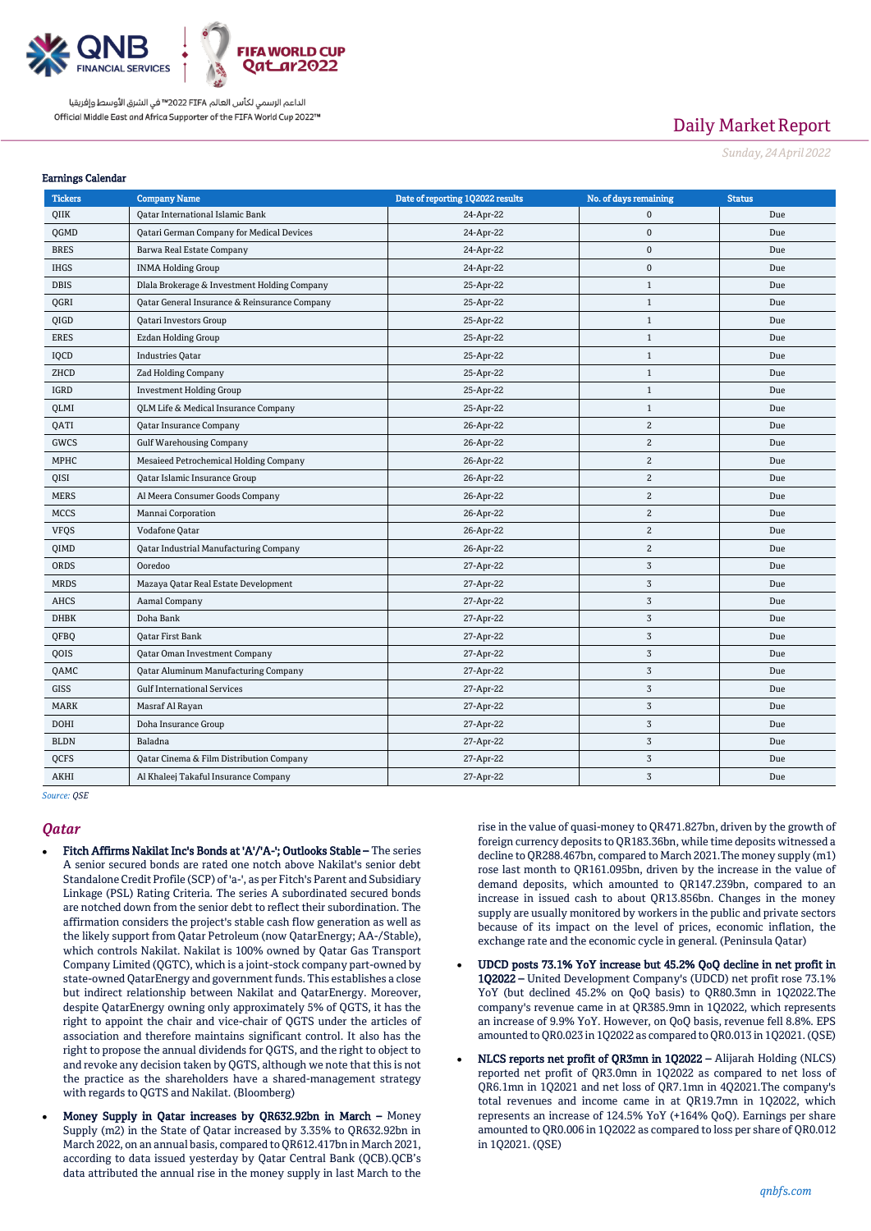

Earnings Calendar

# Daily Market Report

*Sunday, 24April2022*

| <b>Tickers</b><br><b>Company Name</b><br><b>Status</b><br>QIIK<br>Qatar International Islamic Bank<br>24-Apr-22<br>$\pmb{0}$<br>Due<br>QGMD<br>Qatari German Company for Medical Devices<br>24-Apr-22<br>$\pmb{0}$<br>Due<br>$\mathbf{0}$<br><b>BRES</b><br>Barwa Real Estate Company<br>24-Apr-22<br>Due<br><b>IHGS</b><br>$\mathbf 0$<br>Due<br><b>INMA Holding Group</b><br>24-Apr-22<br><b>DBIS</b><br>Dlala Brokerage & Investment Holding Company<br>$\,1$<br>25-Apr-22<br>Due<br>Qatar General Insurance & Reinsurance Company<br>$\mathbf{1}$<br>QGRI<br>25-Apr-22<br>Due<br>QIGD<br>$\mathbf{1}$<br>Qatari Investors Group<br>25-Apr-22<br>Due<br><b>ERES</b><br><b>Ezdan Holding Group</b><br>25-Apr-22<br>$\mathbf{1}$<br>Due<br>IQCD<br><b>Industries Qatar</b><br>$\mathbf{1}$<br>25-Apr-22<br>Due<br>ZHCD<br>$\mathbf{1}$<br><b>Zad Holding Company</b><br>25-Apr-22<br>Due<br>IGRD<br>$\mathbf{1}$<br>Due<br><b>Investment Holding Group</b><br>25-Apr-22<br>QLMI<br>QLM Life & Medical Insurance Company<br>25-Apr-22<br>$\mathbf{1}$<br>Due<br>$\mathbf{2}$<br>QATI<br>Due<br>Qatar Insurance Company<br>26-Apr-22<br>GWCS<br>$\mathbf{2}$<br><b>Gulf Warehousing Company</b><br>26-Apr-22<br>Due<br><b>MPHC</b><br>$\mathbf{2}$<br>Mesaieed Petrochemical Holding Company<br>26-Apr-22<br>Due<br>$\mathbf{2}$<br>QISI<br><b>Qatar Islamic Insurance Group</b><br>Due<br>26-Apr-22<br>$\mathbf{2}$<br><b>MERS</b><br>Al Meera Consumer Goods Company<br>Due<br>26-Apr-22<br>$\mathbf{2}$<br><b>MCCS</b><br>Mannai Corporation<br>26-Apr-22<br>Due<br><b>VFQS</b><br>$\sqrt{2}$<br>Vodafone Qatar<br>26-Apr-22<br>Due<br>QIMD<br>$\mathbf{2}$<br><b>Qatar Industrial Manufacturing Company</b><br>26-Apr-22<br>Due<br>ORDS<br>3<br>Ooredoo<br>27-Apr-22<br>Due<br><b>MRDS</b><br>$\sqrt{3}$<br>Mazaya Qatar Real Estate Development<br>Due<br>27-Apr-22<br><b>AHCS</b><br>3<br>Aamal Company<br>27-Apr-22<br>Due<br>$\sqrt{3}$<br><b>DHBK</b><br>Doha Bank<br>27-Apr-22<br>Due<br>QFBQ<br>$\sqrt{3}$<br>Oatar First Bank<br>27-Apr-22<br>Due<br>QOIS<br>Qatar Oman Investment Company<br>27-Apr-22<br>$\sqrt{3}$<br>Due<br>$\sqrt{3}$<br>QAMC<br><b>Qatar Aluminum Manufacturing Company</b><br>Due<br>27-Apr-22<br><b>GISS</b><br>3<br><b>Gulf International Services</b><br>27-Apr-22<br>Due<br><b>MARK</b><br>$\sqrt{3}$<br>Masraf Al Rayan<br>27-Apr-22<br>Due<br>$\sqrt{3}$<br><b>DOHI</b><br>Doha Insurance Group<br>27-Apr-22<br>Due<br><b>BLDN</b><br>$\sqrt{3}$<br>Due<br>Baladna<br>27-Apr-22<br>QCFS<br>$\sqrt{3}$<br>Qatar Cinema & Film Distribution Company<br>27-Apr-22<br>Due<br>3<br><b>AKHI</b><br>Al Khaleej Takaful Insurance Company<br>27-Apr-22<br>Due | rammigo calciluar |                                  |                       |  |  |  |  |  |  |
|-----------------------------------------------------------------------------------------------------------------------------------------------------------------------------------------------------------------------------------------------------------------------------------------------------------------------------------------------------------------------------------------------------------------------------------------------------------------------------------------------------------------------------------------------------------------------------------------------------------------------------------------------------------------------------------------------------------------------------------------------------------------------------------------------------------------------------------------------------------------------------------------------------------------------------------------------------------------------------------------------------------------------------------------------------------------------------------------------------------------------------------------------------------------------------------------------------------------------------------------------------------------------------------------------------------------------------------------------------------------------------------------------------------------------------------------------------------------------------------------------------------------------------------------------------------------------------------------------------------------------------------------------------------------------------------------------------------------------------------------------------------------------------------------------------------------------------------------------------------------------------------------------------------------------------------------------------------------------------------------------------------------------------------------------------------------------------------------------------------------------------------------------------------------------------------------------------------------------------------------------------------------------------------------------------------------------------------------------------------------------------------------------------------------------------------------------------------------------------------------------------------------------------------------------------------------------------------------------------------------------------------------------------------------------------------------------|-------------------|----------------------------------|-----------------------|--|--|--|--|--|--|
|                                                                                                                                                                                                                                                                                                                                                                                                                                                                                                                                                                                                                                                                                                                                                                                                                                                                                                                                                                                                                                                                                                                                                                                                                                                                                                                                                                                                                                                                                                                                                                                                                                                                                                                                                                                                                                                                                                                                                                                                                                                                                                                                                                                                                                                                                                                                                                                                                                                                                                                                                                                                                                                                                               |                   | Date of reporting 1Q2022 results | No. of days remaining |  |  |  |  |  |  |
|                                                                                                                                                                                                                                                                                                                                                                                                                                                                                                                                                                                                                                                                                                                                                                                                                                                                                                                                                                                                                                                                                                                                                                                                                                                                                                                                                                                                                                                                                                                                                                                                                                                                                                                                                                                                                                                                                                                                                                                                                                                                                                                                                                                                                                                                                                                                                                                                                                                                                                                                                                                                                                                                                               |                   |                                  |                       |  |  |  |  |  |  |
|                                                                                                                                                                                                                                                                                                                                                                                                                                                                                                                                                                                                                                                                                                                                                                                                                                                                                                                                                                                                                                                                                                                                                                                                                                                                                                                                                                                                                                                                                                                                                                                                                                                                                                                                                                                                                                                                                                                                                                                                                                                                                                                                                                                                                                                                                                                                                                                                                                                                                                                                                                                                                                                                                               |                   |                                  |                       |  |  |  |  |  |  |
|                                                                                                                                                                                                                                                                                                                                                                                                                                                                                                                                                                                                                                                                                                                                                                                                                                                                                                                                                                                                                                                                                                                                                                                                                                                                                                                                                                                                                                                                                                                                                                                                                                                                                                                                                                                                                                                                                                                                                                                                                                                                                                                                                                                                                                                                                                                                                                                                                                                                                                                                                                                                                                                                                               |                   |                                  |                       |  |  |  |  |  |  |
|                                                                                                                                                                                                                                                                                                                                                                                                                                                                                                                                                                                                                                                                                                                                                                                                                                                                                                                                                                                                                                                                                                                                                                                                                                                                                                                                                                                                                                                                                                                                                                                                                                                                                                                                                                                                                                                                                                                                                                                                                                                                                                                                                                                                                                                                                                                                                                                                                                                                                                                                                                                                                                                                                               |                   |                                  |                       |  |  |  |  |  |  |
|                                                                                                                                                                                                                                                                                                                                                                                                                                                                                                                                                                                                                                                                                                                                                                                                                                                                                                                                                                                                                                                                                                                                                                                                                                                                                                                                                                                                                                                                                                                                                                                                                                                                                                                                                                                                                                                                                                                                                                                                                                                                                                                                                                                                                                                                                                                                                                                                                                                                                                                                                                                                                                                                                               |                   |                                  |                       |  |  |  |  |  |  |
|                                                                                                                                                                                                                                                                                                                                                                                                                                                                                                                                                                                                                                                                                                                                                                                                                                                                                                                                                                                                                                                                                                                                                                                                                                                                                                                                                                                                                                                                                                                                                                                                                                                                                                                                                                                                                                                                                                                                                                                                                                                                                                                                                                                                                                                                                                                                                                                                                                                                                                                                                                                                                                                                                               |                   |                                  |                       |  |  |  |  |  |  |
|                                                                                                                                                                                                                                                                                                                                                                                                                                                                                                                                                                                                                                                                                                                                                                                                                                                                                                                                                                                                                                                                                                                                                                                                                                                                                                                                                                                                                                                                                                                                                                                                                                                                                                                                                                                                                                                                                                                                                                                                                                                                                                                                                                                                                                                                                                                                                                                                                                                                                                                                                                                                                                                                                               |                   |                                  |                       |  |  |  |  |  |  |
|                                                                                                                                                                                                                                                                                                                                                                                                                                                                                                                                                                                                                                                                                                                                                                                                                                                                                                                                                                                                                                                                                                                                                                                                                                                                                                                                                                                                                                                                                                                                                                                                                                                                                                                                                                                                                                                                                                                                                                                                                                                                                                                                                                                                                                                                                                                                                                                                                                                                                                                                                                                                                                                                                               |                   |                                  |                       |  |  |  |  |  |  |
|                                                                                                                                                                                                                                                                                                                                                                                                                                                                                                                                                                                                                                                                                                                                                                                                                                                                                                                                                                                                                                                                                                                                                                                                                                                                                                                                                                                                                                                                                                                                                                                                                                                                                                                                                                                                                                                                                                                                                                                                                                                                                                                                                                                                                                                                                                                                                                                                                                                                                                                                                                                                                                                                                               |                   |                                  |                       |  |  |  |  |  |  |
|                                                                                                                                                                                                                                                                                                                                                                                                                                                                                                                                                                                                                                                                                                                                                                                                                                                                                                                                                                                                                                                                                                                                                                                                                                                                                                                                                                                                                                                                                                                                                                                                                                                                                                                                                                                                                                                                                                                                                                                                                                                                                                                                                                                                                                                                                                                                                                                                                                                                                                                                                                                                                                                                                               |                   |                                  |                       |  |  |  |  |  |  |
|                                                                                                                                                                                                                                                                                                                                                                                                                                                                                                                                                                                                                                                                                                                                                                                                                                                                                                                                                                                                                                                                                                                                                                                                                                                                                                                                                                                                                                                                                                                                                                                                                                                                                                                                                                                                                                                                                                                                                                                                                                                                                                                                                                                                                                                                                                                                                                                                                                                                                                                                                                                                                                                                                               |                   |                                  |                       |  |  |  |  |  |  |
|                                                                                                                                                                                                                                                                                                                                                                                                                                                                                                                                                                                                                                                                                                                                                                                                                                                                                                                                                                                                                                                                                                                                                                                                                                                                                                                                                                                                                                                                                                                                                                                                                                                                                                                                                                                                                                                                                                                                                                                                                                                                                                                                                                                                                                                                                                                                                                                                                                                                                                                                                                                                                                                                                               |                   |                                  |                       |  |  |  |  |  |  |
|                                                                                                                                                                                                                                                                                                                                                                                                                                                                                                                                                                                                                                                                                                                                                                                                                                                                                                                                                                                                                                                                                                                                                                                                                                                                                                                                                                                                                                                                                                                                                                                                                                                                                                                                                                                                                                                                                                                                                                                                                                                                                                                                                                                                                                                                                                                                                                                                                                                                                                                                                                                                                                                                                               |                   |                                  |                       |  |  |  |  |  |  |
|                                                                                                                                                                                                                                                                                                                                                                                                                                                                                                                                                                                                                                                                                                                                                                                                                                                                                                                                                                                                                                                                                                                                                                                                                                                                                                                                                                                                                                                                                                                                                                                                                                                                                                                                                                                                                                                                                                                                                                                                                                                                                                                                                                                                                                                                                                                                                                                                                                                                                                                                                                                                                                                                                               |                   |                                  |                       |  |  |  |  |  |  |
|                                                                                                                                                                                                                                                                                                                                                                                                                                                                                                                                                                                                                                                                                                                                                                                                                                                                                                                                                                                                                                                                                                                                                                                                                                                                                                                                                                                                                                                                                                                                                                                                                                                                                                                                                                                                                                                                                                                                                                                                                                                                                                                                                                                                                                                                                                                                                                                                                                                                                                                                                                                                                                                                                               |                   |                                  |                       |  |  |  |  |  |  |
|                                                                                                                                                                                                                                                                                                                                                                                                                                                                                                                                                                                                                                                                                                                                                                                                                                                                                                                                                                                                                                                                                                                                                                                                                                                                                                                                                                                                                                                                                                                                                                                                                                                                                                                                                                                                                                                                                                                                                                                                                                                                                                                                                                                                                                                                                                                                                                                                                                                                                                                                                                                                                                                                                               |                   |                                  |                       |  |  |  |  |  |  |
|                                                                                                                                                                                                                                                                                                                                                                                                                                                                                                                                                                                                                                                                                                                                                                                                                                                                                                                                                                                                                                                                                                                                                                                                                                                                                                                                                                                                                                                                                                                                                                                                                                                                                                                                                                                                                                                                                                                                                                                                                                                                                                                                                                                                                                                                                                                                                                                                                                                                                                                                                                                                                                                                                               |                   |                                  |                       |  |  |  |  |  |  |
|                                                                                                                                                                                                                                                                                                                                                                                                                                                                                                                                                                                                                                                                                                                                                                                                                                                                                                                                                                                                                                                                                                                                                                                                                                                                                                                                                                                                                                                                                                                                                                                                                                                                                                                                                                                                                                                                                                                                                                                                                                                                                                                                                                                                                                                                                                                                                                                                                                                                                                                                                                                                                                                                                               |                   |                                  |                       |  |  |  |  |  |  |
|                                                                                                                                                                                                                                                                                                                                                                                                                                                                                                                                                                                                                                                                                                                                                                                                                                                                                                                                                                                                                                                                                                                                                                                                                                                                                                                                                                                                                                                                                                                                                                                                                                                                                                                                                                                                                                                                                                                                                                                                                                                                                                                                                                                                                                                                                                                                                                                                                                                                                                                                                                                                                                                                                               |                   |                                  |                       |  |  |  |  |  |  |
|                                                                                                                                                                                                                                                                                                                                                                                                                                                                                                                                                                                                                                                                                                                                                                                                                                                                                                                                                                                                                                                                                                                                                                                                                                                                                                                                                                                                                                                                                                                                                                                                                                                                                                                                                                                                                                                                                                                                                                                                                                                                                                                                                                                                                                                                                                                                                                                                                                                                                                                                                                                                                                                                                               |                   |                                  |                       |  |  |  |  |  |  |
|                                                                                                                                                                                                                                                                                                                                                                                                                                                                                                                                                                                                                                                                                                                                                                                                                                                                                                                                                                                                                                                                                                                                                                                                                                                                                                                                                                                                                                                                                                                                                                                                                                                                                                                                                                                                                                                                                                                                                                                                                                                                                                                                                                                                                                                                                                                                                                                                                                                                                                                                                                                                                                                                                               |                   |                                  |                       |  |  |  |  |  |  |
|                                                                                                                                                                                                                                                                                                                                                                                                                                                                                                                                                                                                                                                                                                                                                                                                                                                                                                                                                                                                                                                                                                                                                                                                                                                                                                                                                                                                                                                                                                                                                                                                                                                                                                                                                                                                                                                                                                                                                                                                                                                                                                                                                                                                                                                                                                                                                                                                                                                                                                                                                                                                                                                                                               |                   |                                  |                       |  |  |  |  |  |  |
|                                                                                                                                                                                                                                                                                                                                                                                                                                                                                                                                                                                                                                                                                                                                                                                                                                                                                                                                                                                                                                                                                                                                                                                                                                                                                                                                                                                                                                                                                                                                                                                                                                                                                                                                                                                                                                                                                                                                                                                                                                                                                                                                                                                                                                                                                                                                                                                                                                                                                                                                                                                                                                                                                               |                   |                                  |                       |  |  |  |  |  |  |
|                                                                                                                                                                                                                                                                                                                                                                                                                                                                                                                                                                                                                                                                                                                                                                                                                                                                                                                                                                                                                                                                                                                                                                                                                                                                                                                                                                                                                                                                                                                                                                                                                                                                                                                                                                                                                                                                                                                                                                                                                                                                                                                                                                                                                                                                                                                                                                                                                                                                                                                                                                                                                                                                                               |                   |                                  |                       |  |  |  |  |  |  |
|                                                                                                                                                                                                                                                                                                                                                                                                                                                                                                                                                                                                                                                                                                                                                                                                                                                                                                                                                                                                                                                                                                                                                                                                                                                                                                                                                                                                                                                                                                                                                                                                                                                                                                                                                                                                                                                                                                                                                                                                                                                                                                                                                                                                                                                                                                                                                                                                                                                                                                                                                                                                                                                                                               |                   |                                  |                       |  |  |  |  |  |  |
|                                                                                                                                                                                                                                                                                                                                                                                                                                                                                                                                                                                                                                                                                                                                                                                                                                                                                                                                                                                                                                                                                                                                                                                                                                                                                                                                                                                                                                                                                                                                                                                                                                                                                                                                                                                                                                                                                                                                                                                                                                                                                                                                                                                                                                                                                                                                                                                                                                                                                                                                                                                                                                                                                               |                   |                                  |                       |  |  |  |  |  |  |
|                                                                                                                                                                                                                                                                                                                                                                                                                                                                                                                                                                                                                                                                                                                                                                                                                                                                                                                                                                                                                                                                                                                                                                                                                                                                                                                                                                                                                                                                                                                                                                                                                                                                                                                                                                                                                                                                                                                                                                                                                                                                                                                                                                                                                                                                                                                                                                                                                                                                                                                                                                                                                                                                                               |                   |                                  |                       |  |  |  |  |  |  |
|                                                                                                                                                                                                                                                                                                                                                                                                                                                                                                                                                                                                                                                                                                                                                                                                                                                                                                                                                                                                                                                                                                                                                                                                                                                                                                                                                                                                                                                                                                                                                                                                                                                                                                                                                                                                                                                                                                                                                                                                                                                                                                                                                                                                                                                                                                                                                                                                                                                                                                                                                                                                                                                                                               |                   |                                  |                       |  |  |  |  |  |  |
|                                                                                                                                                                                                                                                                                                                                                                                                                                                                                                                                                                                                                                                                                                                                                                                                                                                                                                                                                                                                                                                                                                                                                                                                                                                                                                                                                                                                                                                                                                                                                                                                                                                                                                                                                                                                                                                                                                                                                                                                                                                                                                                                                                                                                                                                                                                                                                                                                                                                                                                                                                                                                                                                                               |                   |                                  |                       |  |  |  |  |  |  |
|                                                                                                                                                                                                                                                                                                                                                                                                                                                                                                                                                                                                                                                                                                                                                                                                                                                                                                                                                                                                                                                                                                                                                                                                                                                                                                                                                                                                                                                                                                                                                                                                                                                                                                                                                                                                                                                                                                                                                                                                                                                                                                                                                                                                                                                                                                                                                                                                                                                                                                                                                                                                                                                                                               |                   |                                  |                       |  |  |  |  |  |  |
|                                                                                                                                                                                                                                                                                                                                                                                                                                                                                                                                                                                                                                                                                                                                                                                                                                                                                                                                                                                                                                                                                                                                                                                                                                                                                                                                                                                                                                                                                                                                                                                                                                                                                                                                                                                                                                                                                                                                                                                                                                                                                                                                                                                                                                                                                                                                                                                                                                                                                                                                                                                                                                                                                               |                   |                                  |                       |  |  |  |  |  |  |
|                                                                                                                                                                                                                                                                                                                                                                                                                                                                                                                                                                                                                                                                                                                                                                                                                                                                                                                                                                                                                                                                                                                                                                                                                                                                                                                                                                                                                                                                                                                                                                                                                                                                                                                                                                                                                                                                                                                                                                                                                                                                                                                                                                                                                                                                                                                                                                                                                                                                                                                                                                                                                                                                                               |                   |                                  |                       |  |  |  |  |  |  |
|                                                                                                                                                                                                                                                                                                                                                                                                                                                                                                                                                                                                                                                                                                                                                                                                                                                                                                                                                                                                                                                                                                                                                                                                                                                                                                                                                                                                                                                                                                                                                                                                                                                                                                                                                                                                                                                                                                                                                                                                                                                                                                                                                                                                                                                                                                                                                                                                                                                                                                                                                                                                                                                                                               |                   |                                  |                       |  |  |  |  |  |  |

*Source: QSE*

#### *Qatar*

- Fitch Affirms Nakilat Inc's Bonds at 'A'/'A-'; Outlooks Stable The series A senior secured bonds are rated one notch above Nakilat's senior debt Standalone Credit Profile (SCP) of 'a-', as per Fitch's Parent and Subsidiary Linkage (PSL) Rating Criteria. The series A subordinated secured bonds are notched down from the senior debt to reflect their subordination. The affirmation considers the project's stable cash flow generation as well as the likely support from Qatar Petroleum (now QatarEnergy; AA-/Stable), which controls Nakilat. Nakilat is 100% owned by Qatar Gas Transport Company Limited (QGTC), which is a joint-stock company part-owned by state-owned QatarEnergy and government funds. This establishes a close but indirect relationship between Nakilat and QatarEnergy. Moreover, despite QatarEnergy owning only approximately 5% of QGTS, it has the right to appoint the chair and vice-chair of QGTS under the articles of association and therefore maintains significant control. It also has the right to propose the annual dividends for QGTS, and the right to object to and revoke any decision taken by QGTS, although we note that this is not the practice as the shareholders have a shared-management strategy with regards to QGTS and Nakilat. (Bloomberg)
- Money Supply in Qatar increases by QR632.92bn in March Money Supply (m2) in the State of Qatar increased by 3.35% to QR632.92bn in March 2022, on an annual basis, compared to QR612.417bn in March 2021, according to data issued yesterday by Qatar Central Bank (QCB).QCB's data attributed the annual rise in the money supply in last March to the

rise in the value of quasi-money to QR471.827bn, driven by the growth of foreign currency deposits to QR183.36bn, while time deposits witnessed a decline to QR288.467bn, compared to March 2021.The money supply (m1) rose last month to QR161.095bn, driven by the increase in the value of demand deposits, which amounted to QR147.239bn, compared to an increase in issued cash to about QR13.856bn. Changes in the money supply are usually monitored by workers in the public and private sectors because of its impact on the level of prices, economic inflation, the exchange rate and the economic cycle in general. (Peninsula Qatar)

- UDCD posts 73.1% YoY increase but 45.2% QoQ decline in net profit in 1Q2022 – United Development Company's (UDCD) net profit rose 73.1% YoY (but declined 45.2% on QoQ basis) to QR80.3mn in 1Q2022.The company's revenue came in at QR385.9mn in 1Q2022, which represents an increase of 9.9% YoY. However, on QoQ basis, revenue fell 8.8%. EPS amounted to QR0.023 in 1Q2022 as compared to QR0.013 in 1Q2021. (QSE)
- NLCS reports net profit of QR3mn in 1Q2022 Alijarah Holding (NLCS) reported net profit of QR3.0mn in 1Q2022 as compared to net loss of QR6.1mn in 1Q2021 and net loss of QR7.1mn in 4Q2021.The company's total revenues and income came in at QR19.7mn in 1Q2022, which represents an increase of 124.5% YoY (+164% QoQ). Earnings per share amounted to QR0.006 in 1Q2022 as compared to loss per share of QR0.012 in 1Q2021. (QSE)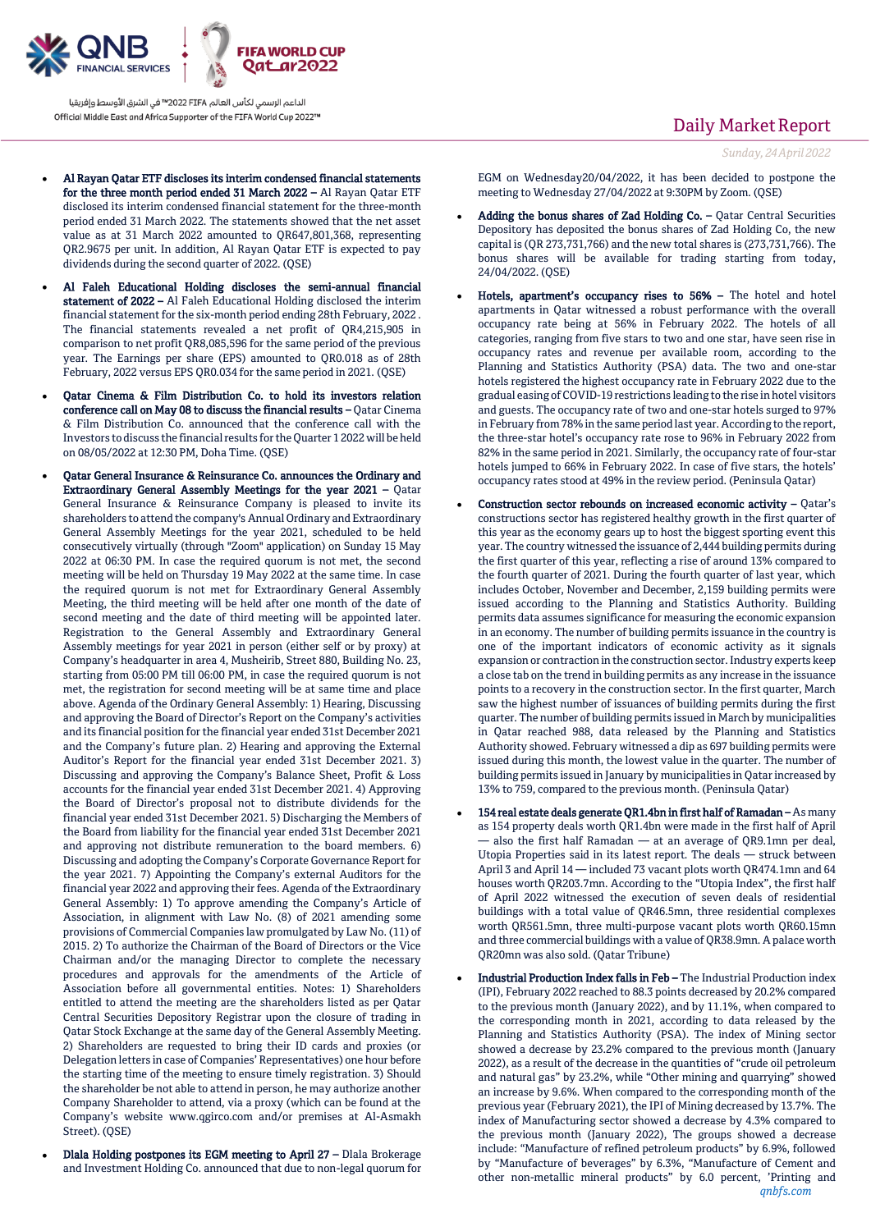

- Al Rayan Qatar ETF discloses its interim condensed financial statements for the three month period ended 31 March 2022 – Al Rayan Qatar ETF disclosed its interim condensed financial statement for the three-month period ended 31 March 2022. The statements showed that the net asset value as at 31 March 2022 amounted to QR647,801,368, representing QR2.9675 per unit. In addition, Al Rayan Qatar ETF is expected to pay dividends during the second quarter of 2022. (QSE)
- Al Faleh Educational Holding discloses the semi-annual financial statement of 2022 – Al Faleh Educational Holding disclosed the interim financial statement for the six-month period ending 28th February, 2022 . The financial statements revealed a net profit of QR4,215,905 in comparison to net profit QR8,085,596 for the same period of the previous year. The Earnings per share (EPS) amounted to QR0.018 as of 28th February, 2022 versus EPS QR0.034 for the same period in 2021. (QSE)
- Qatar Cinema & Film Distribution Co. to hold its investors relation conference call on May 08 to discuss the financial results – Qatar Cinema & Film Distribution Co. announced that the conference call with the Investors to discuss the financial results for the Quarter 1 2022 will be held on 08/05/2022 at 12:30 PM, Doha Time. (QSE)
- Qatar General Insurance & Reinsurance Co. announces the Ordinary and Extraordinary General Assembly Meetings for the year 2021 – Qatar General Insurance & Reinsurance Company is pleased to invite its shareholders to attend the company's Annual Ordinary and Extraordinary General Assembly Meetings for the year 2021, scheduled to be held consecutively virtually (through "Zoom" application) on Sunday 15 May 2022 at 06:30 PM. In case the required quorum is not met, the second meeting will be held on Thursday 19 May 2022 at the same time. In case the required quorum is not met for Extraordinary General Assembly Meeting, the third meeting will be held after one month of the date of second meeting and the date of third meeting will be appointed later. Registration to the General Assembly and Extraordinary General Assembly meetings for year 2021 in person (either self or by proxy) at Company's headquarter in area 4, Musheirib, Street 880, Building No. 23, starting from 05:00 PM till 06:00 PM, in case the required quorum is not met, the registration for second meeting will be at same time and place above. Agenda of the Ordinary General Assembly: 1) Hearing, Discussing and approving the Board of Director's Report on the Company's activities and its financial position for the financial year ended 31st December 2021 and the Company's future plan. 2) Hearing and approving the External Auditor's Report for the financial year ended 31st December 2021. 3) Discussing and approving the Company's Balance Sheet, Profit & Loss accounts for the financial year ended 31st December 2021. 4) Approving the Board of Director's proposal not to distribute dividends for the financial year ended 31st December 2021. 5) Discharging the Members of the Board from liability for the financial year ended 31st December 2021 and approving not distribute remuneration to the board members. 6) Discussing and adopting the Company's Corporate Governance Report for the year 2021. 7) Appointing the Company's external Auditors for the financial year 2022 and approving their fees. Agenda of the Extraordinary General Assembly: 1) To approve amending the Company's Article of Association, in alignment with Law No. (8) of 2021 amending some provisions of Commercial Companies law promulgated by Law No. (11) of 2015. 2) To authorize the Chairman of the Board of Directors or the Vice Chairman and/or the managing Director to complete the necessary procedures and approvals for the amendments of the Article of Association before all governmental entities. Notes: 1) Shareholders entitled to attend the meeting are the shareholders listed as per Qatar Central Securities Depository Registrar upon the closure of trading in Qatar Stock Exchange at the same day of the General Assembly Meeting. 2) Shareholders are requested to bring their ID cards and proxies (or Delegation letters in case of Companies' Representatives) one hour before the starting time of the meeting to ensure timely registration. 3) Should the shareholder be not able to attend in person, he may authorize another Company Shareholder to attend, via a proxy (which can be found at the Company's website www.qgirco.com and/or premises at Al-Asmakh Street). (QSE)
- Dlala Holding postpones its EGM meeting to April 27 Dlala Brokerage and Investment Holding Co. announced that due to non-legal quorum for

## Daily Market Report

*Sunday, 24April2022*

EGM on Wednesday20/04/2022, it has been decided to postpone the meeting to Wednesday 27/04/2022 at 9:30PM by Zoom. (QSE)

- Adding the bonus shares of Zad Holding Co. Qatar Central Securities Depository has deposited the bonus shares of Zad Holding Co, the new capital is (QR 273,731,766) and the new total shares is (273,731,766). The bonus shares will be available for trading starting from today, 24/04/2022. (QSE)
- Hotels, apartment's occupancy rises to 56% The hotel and hotel apartments in Qatar witnessed a robust performance with the overall occupancy rate being at 56% in February 2022. The hotels of all categories, ranging from five stars to two and one star, have seen rise in occupancy rates and revenue per available room, according to the Planning and Statistics Authority (PSA) data. The two and one-star hotels registered the highest occupancy rate in February 2022 due to the gradual easing of COVID-19 restrictions leading to the rise in hotel visitors and guests. The occupancy rate of two and one-star hotels surged to 97% in February from 78% in the same period last year. According to the report, the three-star hotel's occupancy rate rose to 96% in February 2022 from 82% in the same period in 2021. Similarly, the occupancy rate of four-star hotels jumped to 66% in February 2022. In case of five stars, the hotels' occupancy rates stood at 49% in the review period. (Peninsula Qatar)
- Construction sector rebounds on increased economic activity Qatar's constructions sector has registered healthy growth in the first quarter of this year as the economy gears up to host the biggest sporting event this year. The country witnessed the issuance of 2,444 building permits during the first quarter of this year, reflecting a rise of around 13% compared to the fourth quarter of 2021. During the fourth quarter of last year, which includes October, November and December, 2,159 building permits were issued according to the Planning and Statistics Authority. Building permits data assumes significance for measuring the economic expansion in an economy. The number of building permits issuance in the country is one of the important indicators of economic activity as it signals expansion or contraction in the construction sector. Industry experts keep a close tab on the trend in building permits as any increase in the issuance points to a recovery in the construction sector. In the first quarter, March saw the highest number of issuances of building permits during the first quarter. The number of building permits issued in March by municipalities in Qatar reached 988, data released by the Planning and Statistics Authority showed. February witnessed a dip as 697 building permits were issued during this month, the lowest value in the quarter. The number of building permits issued in January by municipalities in Qatar increased by 13% to 759, compared to the previous month. (Peninsula Qatar)
- 154 real estate deals generate QR1.4bn in first half of Ramadan As many as 154 property deals worth QR1.4bn were made in the first half of April — also the first half Ramadan — at an average of QR9.1mn per deal, Utopia Properties said in its latest report. The deals — struck between April 3 and April 14 — included 73 vacant plots worth QR474.1mn and 64 houses worth QR203.7mn. According to the "Utopia Index", the first half of April 2022 witnessed the execution of seven deals of residential buildings with a total value of QR46.5mn, three residential complexes worth QR561.5mn, three multi-purpose vacant plots worth QR60.15mn and three commercial buildings with a value of QR38.9mn. A palace worth QR20mn was also sold. (Qatar Tribune)
- *qnbfs.com* Industrial Production Index falls in Feb – The Industrial Production index (IPI), February 2022 reached to 88.3 points decreased by 20.2% compared to the previous month (January 2022), and by 11.1%, when compared to the corresponding month in 2021, according to data released by the Planning and Statistics Authority (PSA). The index of Mining sector showed a decrease by 23.2% compared to the previous month (January 2022), as a result of the decrease in the quantities of "crude oil petroleum and natural gas" by 23.2%, while "Other mining and quarrying" showed an increase by 9.6%. When compared to the corresponding month of the previous year (February 2021), the IPI of Mining decreased by 13.7%. The index of Manufacturing sector showed a decrease by 4.3% compared to the previous month (January 2022), The groups showed a decrease include: "Manufacture of refined petroleum products" by 6.9%, followed by "Manufacture of beverages" by 6.3%, "Manufacture of Cement and other non-metallic mineral products" by 6.0 percent, 'Printing and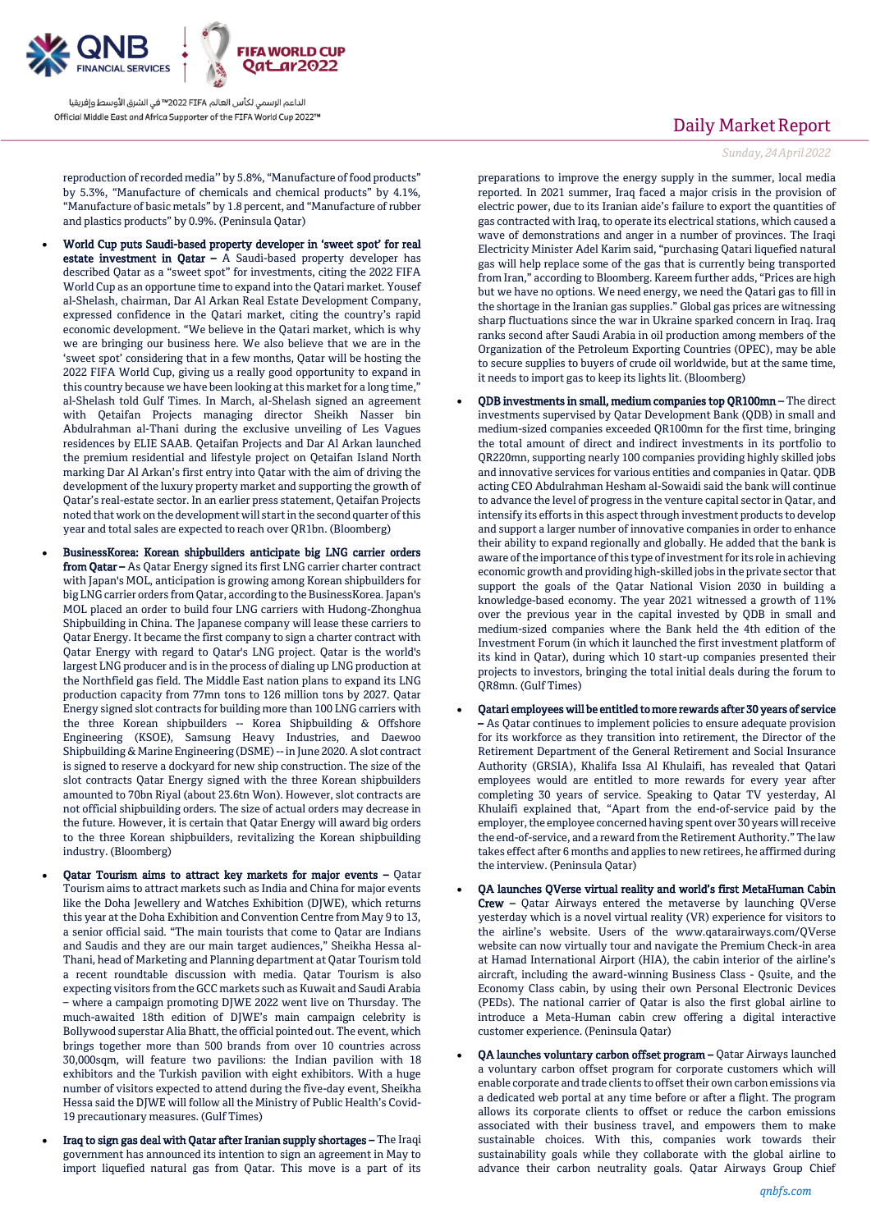

reproduction of recorded media'' by 5.8%, "Manufacture of food products" by 5.3%, "Manufacture of chemicals and chemical products" by 4.1%, "Manufacture of basic metals" by 1.8 percent, and "Manufacture of rubber and plastics products" by 0.9%. (Peninsula Qatar)

- World Cup puts Saudi-based property developer in 'sweet spot' for real estate investment in Qatar – A Saudi-based property developer has described Qatar as a "sweet spot" for investments, citing the 2022 FIFA World Cup as an opportune time to expand into the Qatari market. Yousef al-Shelash, chairman, Dar Al Arkan Real Estate Development Company, expressed confidence in the Qatari market, citing the country's rapid economic development. "We believe in the Qatari market, which is why we are bringing our business here. We also believe that we are in the 'sweet spot' considering that in a few months, Qatar will be hosting the 2022 FIFA World Cup, giving us a really good opportunity to expand in this country because we have been looking at this market for a long time," al-Shelash told Gulf Times. In March, al-Shelash signed an agreement with Qetaifan Projects managing director Sheikh Nasser bin Abdulrahman al-Thani during the exclusive unveiling of Les Vagues residences by ELIE SAAB. Qetaifan Projects and Dar Al Arkan launched the premium residential and lifestyle project on Qetaifan Island North marking Dar Al Arkan's first entry into Qatar with the aim of driving the development of the luxury property market and supporting the growth of Qatar's real-estate sector. In an earlier press statement, Qetaifan Projects noted that work on the development will start in the second quarter of this year and total sales are expected to reach over QR1bn. (Bloomberg)
- BusinessKorea: Korean shipbuilders anticipate big LNG carrier orders from Qatar – As Qatar Energy signed its first LNG carrier charter contract with Japan's MOL, anticipation is growing among Korean shipbuilders for big LNG carrier orders from Qatar, according to the BusinessKorea. Japan's MOL placed an order to build four LNG carriers with Hudong-Zhonghua Shipbuilding in China. The Japanese company will lease these carriers to Qatar Energy. It became the first company to sign a charter contract with Qatar Energy with regard to Qatar's LNG project. Qatar is the world's largest LNG producer and is in the process of dialing up LNG production at the Northfield gas field. The Middle East nation plans to expand its LNG production capacity from 77mn tons to 126 million tons by 2027. Qatar Energy signed slot contracts for building more than 100 LNG carriers with the three Korean shipbuilders -- Korea Shipbuilding & Offshore Engineering (KSOE), Samsung Heavy Industries, and Daewoo Shipbuilding & Marine Engineering (DSME) --in June 2020. A slot contract is signed to reserve a dockyard for new ship construction. The size of the slot contracts Qatar Energy signed with the three Korean shipbuilders amounted to 70bn Riyal (about 23.6tn Won). However, slot contracts are not official shipbuilding orders. The size of actual orders may decrease in the future. However, it is certain that Qatar Energy will award big orders to the three Korean shipbuilders, revitalizing the Korean shipbuilding industry. (Bloomberg)
- Qatar Tourism aims to attract key markets for major events Qatar Tourism aims to attract markets such as India and China for major events like the Doha Jewellery and Watches Exhibition (DJWE), which returns this year at the Doha Exhibition and Convention Centre from May 9 to 13, a senior official said. "The main tourists that come to Qatar are Indians and Saudis and they are our main target audiences," Sheikha Hessa al-Thani, head of Marketing and Planning department at Qatar Tourism told a recent roundtable discussion with media. Qatar Tourism is also expecting visitors from the GCC markets such as Kuwait and Saudi Arabia – where a campaign promoting DJWE 2022 went live on Thursday. The much-awaited 18th edition of DJWE's main campaign celebrity is Bollywood superstar Alia Bhatt, the official pointed out. The event, which brings together more than 500 brands from over 10 countries across 30,000sqm, will feature two pavilions: the Indian pavilion with 18 exhibitors and the Turkish pavilion with eight exhibitors. With a huge number of visitors expected to attend during the five-day event, Sheikha Hessa said the DJWE will follow all the Ministry of Public Health's Covid-19 precautionary measures. (Gulf Times)
- Iraq to sign gas deal with Qatar after Iranian supply shortages The Iraqi government has announced its intention to sign an agreement in May to import liquefied natural gas from Qatar. This move is a part of its

# Daily Market Report

#### *Sunday, 24April2022*

preparations to improve the energy supply in the summer, local media reported. In 2021 summer, Iraq faced a major crisis in the provision of electric power, due to its Iranian aide's failure to export the quantities of gas contracted with Iraq, to operate its electrical stations, which caused a wave of demonstrations and anger in a number of provinces. The Iraqi Electricity Minister Adel Karim said, "purchasing Qatari liquefied natural gas will help replace some of the gas that is currently being transported from Iran," according to Bloomberg. Kareem further adds, "Prices are high but we have no options. We need energy, we need the Qatari gas to fill in the shortage in the Iranian gas supplies." Global gas prices are witnessing sharp fluctuations since the war in Ukraine sparked concern in Iraq. Iraq ranks second after Saudi Arabia in oil production among members of the Organization of the Petroleum Exporting Countries (OPEC), may be able to secure supplies to buyers of crude oil worldwide, but at the same time, it needs to import gas to keep its lights lit. (Bloomberg)

- QDB investments in small, medium companies top QR100mn The direct investments supervised by Qatar Development Bank (QDB) in small and medium-sized companies exceeded QR100mn for the first time, bringing the total amount of direct and indirect investments in its portfolio to QR220mn, supporting nearly 100 companies providing highly skilled jobs and innovative services for various entities and companies in Qatar. QDB acting CEO Abdulrahman Hesham al-Sowaidi said the bank will continue to advance the level of progress in the venture capital sector in Qatar, and intensify its efforts in this aspect through investment products to develop and support a larger number of innovative companies in order to enhance their ability to expand regionally and globally. He added that the bank is aware of the importance of this type of investment for its role in achieving economic growth and providing high-skilled jobs in the private sector that support the goals of the Qatar National Vision 2030 in building a knowledge-based economy. The year 2021 witnessed a growth of 11% over the previous year in the capital invested by QDB in small and medium-sized companies where the Bank held the 4th edition of the Investment Forum (in which it launched the first investment platform of its kind in Qatar), during which 10 start-up companies presented their projects to investors, bringing the total initial deals during the forum to QR8mn. (Gulf Times)
- Qatari employees will be entitled to more rewards after 30 years of service – As Qatar continues to implement policies to ensure adequate provision for its workforce as they transition into retirement, the Director of the Retirement Department of the General Retirement and Social Insurance Authority (GRSIA), Khalifa Issa Al Khulaifi, has revealed that Qatari employees would are entitled to more rewards for every year after completing 30 years of service. Speaking to Qatar TV yesterday, Al Khulaifi explained that, "Apart from the end-of-service paid by the employer, the employee concerned having spent over 30 years will receive the end-of-service, and a reward from the Retirement Authority." The law takes effect after 6 months and applies to new retirees, he affirmed during the interview. (Peninsula Qatar)
- QA launches QVerse virtual reality and world's first MetaHuman Cabin Crew – Qatar Airways entered the metaverse by launching QVerse yesterday which is a novel virtual reality (VR) experience for visitors to the airline's website. Users of the www.qatarairways.com/QVerse website can now virtually tour and navigate the Premium Check-in area at Hamad International Airport (HIA), the cabin interior of the airline's aircraft, including the award-winning Business Class - Qsuite, and the Economy Class cabin, by using their own Personal Electronic Devices (PEDs). The national carrier of Qatar is also the first global airline to introduce a Meta-Human cabin crew offering a digital interactive customer experience. (Peninsula Qatar)
- QA launches voluntary carbon offset program Qatar Airways launched a voluntary carbon offset program for corporate customers which will enable corporate and trade clients to offset their own carbon emissions via a dedicated web portal at any time before or after a flight. The program allows its corporate clients to offset or reduce the carbon emissions associated with their business travel, and empowers them to make sustainable choices. With this, companies work towards their sustainability goals while they collaborate with the global airline to advance their carbon neutrality goals. Qatar Airways Group Chief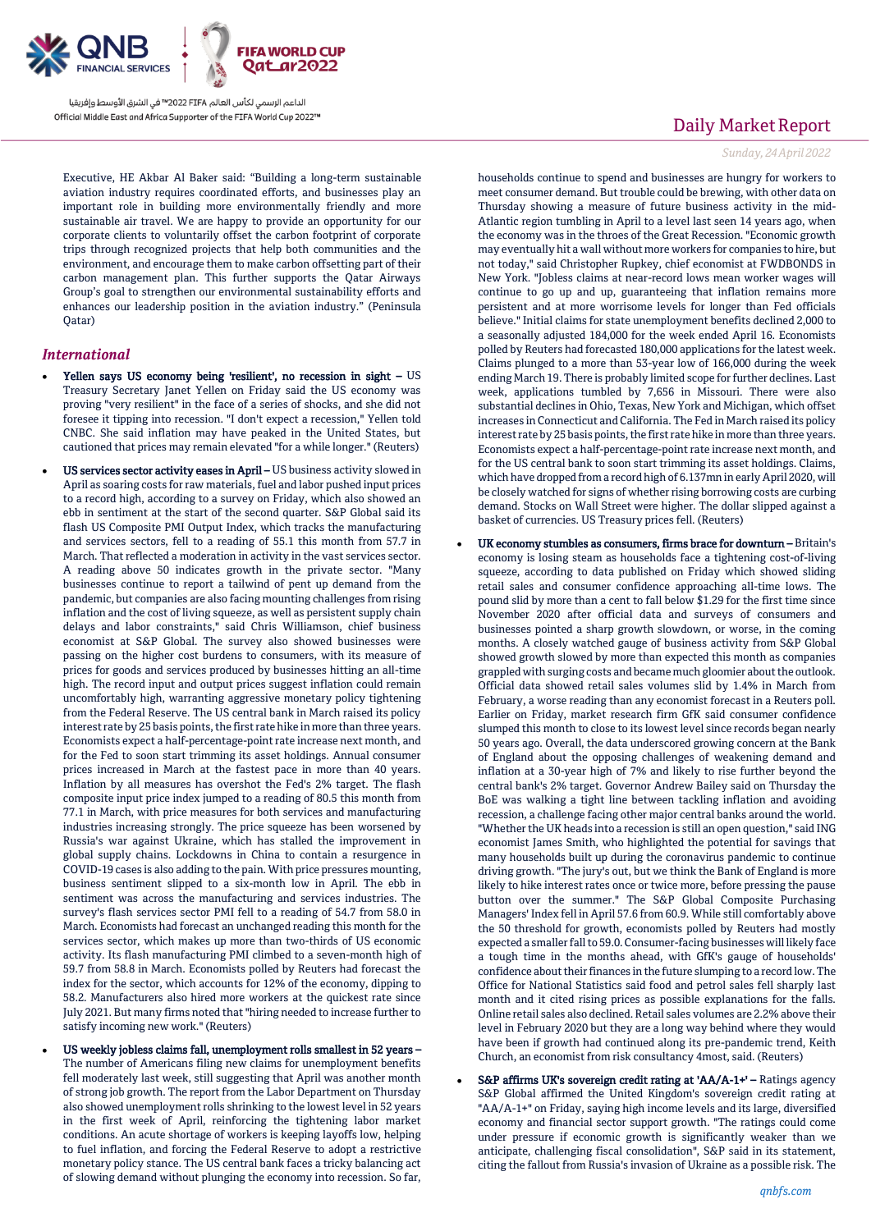

Executive, HE Akbar Al Baker said: "Building a long-term sustainable aviation industry requires coordinated efforts, and businesses play an important role in building more environmentally friendly and more sustainable air travel. We are happy to provide an opportunity for our corporate clients to voluntarily offset the carbon footprint of corporate trips through recognized projects that help both communities and the environment, and encourage them to make carbon offsetting part of their carbon management plan. This further supports the Qatar Airways Group's goal to strengthen our environmental sustainability efforts and enhances our leadership position in the aviation industry." (Peninsula Qatar)

#### *International*

- Yellen says US economy being 'resilient', no recession in sight US Treasury Secretary Janet Yellen on Friday said the US economy was proving "very resilient" in the face of a series of shocks, and she did not foresee it tipping into recession. "I don't expect a recession," Yellen told CNBC. She said inflation may have peaked in the United States, but cautioned that prices may remain elevated "for a while longer." (Reuters)
- US services sector activity eases in April US business activity slowed in April as soaring costs for raw materials, fuel and labor pushed input prices to a record high, according to a survey on Friday, which also showed an ebb in sentiment at the start of the second quarter. S&P Global said its flash US Composite PMI Output Index, which tracks the manufacturing and services sectors, fell to a reading of 55.1 this month from 57.7 in March. That reflected a moderation in activity in the vast services sector. A reading above 50 indicates growth in the private sector. "Many businesses continue to report a tailwind of pent up demand from the pandemic, but companies are also facing mounting challenges from rising inflation and the cost of living squeeze, as well as persistent supply chain delays and labor constraints," said Chris Williamson, chief business economist at S&P Global. The survey also showed businesses were passing on the higher cost burdens to consumers, with its measure of prices for goods and services produced by businesses hitting an all-time high. The record input and output prices suggest inflation could remain uncomfortably high, warranting aggressive monetary policy tightening from the Federal Reserve. The US central bank in March raised its policy interest rate by 25 basis points, the first rate hike in more than three years. Economists expect a half-percentage-point rate increase next month, and for the Fed to soon start trimming its asset holdings. Annual consumer prices increased in March at the fastest pace in more than 40 years. Inflation by all measures has overshot the Fed's 2% target. The flash composite input price index jumped to a reading of 80.5 this month from 77.1 in March, with price measures for both services and manufacturing industries increasing strongly. The price squeeze has been worsened by Russia's war against Ukraine, which has stalled the improvement in global supply chains. Lockdowns in China to contain a resurgence in COVID-19 cases is also adding to the pain. With price pressures mounting, business sentiment slipped to a six-month low in April. The ebb in sentiment was across the manufacturing and services industries. The survey's flash services sector PMI fell to a reading of 54.7 from 58.0 in March. Economists had forecast an unchanged reading this month for the services sector, which makes up more than two-thirds of US economic activity. Its flash manufacturing PMI climbed to a seven-month high of 59.7 from 58.8 in March. Economists polled by Reuters had forecast the index for the sector, which accounts for 12% of the economy, dipping to 58.2. Manufacturers also hired more workers at the quickest rate since July 2021. But many firms noted that "hiring needed to increase further to satisfy incoming new work." (Reuters)
- US weekly jobless claims fall, unemployment rolls smallest in 52 years The number of Americans filing new claims for unemployment benefits fell moderately last week, still suggesting that April was another month of strong job growth. The report from the Labor Department on Thursday also showed unemployment rolls shrinking to the lowest level in 52 years in the first week of April, reinforcing the tightening labor market conditions. An acute shortage of workers is keeping layoffs low, helping to fuel inflation, and forcing the Federal Reserve to adopt a restrictive monetary policy stance. The US central bank faces a tricky balancing act of slowing demand without plunging the economy into recession. So far,

## Daily Market Report

#### *Sunday, 24April2022*

households continue to spend and businesses are hungry for workers to meet consumer demand. But trouble could be brewing, with other data on Thursday showing a measure of future business activity in the mid-Atlantic region tumbling in April to a level last seen 14 years ago, when the economy was in the throes of the Great Recession. "Economic growth may eventually hit a wall without more workers for companies to hire, but not today," said Christopher Rupkey, chief economist at FWDBONDS in New York. "Jobless claims at near-record lows mean worker wages will continue to go up and up, guaranteeing that inflation remains more persistent and at more worrisome levels for longer than Fed officials believe." Initial claims for state unemployment benefits declined 2,000 to a seasonally adjusted 184,000 for the week ended April 16. Economists polled by Reuters had forecasted 180,000 applications for the latest week. Claims plunged to a more than 53-year low of 166,000 during the week ending March 19. There is probably limited scope for further declines. Last week, applications tumbled by 7,656 in Missouri. There were also substantial declines in Ohio, Texas, New York and Michigan, which offset increases in Connecticut and California. The Fed in March raised its policy interest rate by 25 basis points, the first rate hike in more than three years. Economists expect a half-percentage-point rate increase next month, and for the US central bank to soon start trimming its asset holdings. Claims, which have dropped from a record high of 6.137mn in early April 2020, will be closely watched for signs of whether rising borrowing costs are curbing demand. Stocks on Wall Street were higher. The dollar slipped against a basket of currencies. US Treasury prices fell. (Reuters)

- UK economy stumbles as consumers, firms brace for downturn Britain's economy is losing steam as households face a tightening cost-of-living squeeze, according to data published on Friday which showed sliding retail sales and consumer confidence approaching all-time lows. The pound slid by more than a cent to fall below \$1.29 for the first time since November 2020 after official data and surveys of consumers and businesses pointed a sharp growth slowdown, or worse, in the coming months. A closely watched gauge of business activity from S&P Global showed growth slowed by more than expected this month as companies grappled with surging costs and became much gloomier about the outlook. Official data showed retail sales volumes slid by 1.4% in March from February, a worse reading than any economist forecast in a Reuters poll. Earlier on Friday, market research firm GfK said consumer confidence slumped this month to close to its lowest level since records began nearly 50 years ago. Overall, the data underscored growing concern at the Bank of England about the opposing challenges of weakening demand and inflation at a 30-year high of 7% and likely to rise further beyond the central bank's 2% target. Governor Andrew Bailey said on Thursday the BoE was walking a tight line between tackling inflation and avoiding recession, a challenge facing other major central banks around the world. "Whether the UK heads into a recession is still an open question," said ING economist James Smith, who highlighted the potential for savings that many households built up during the coronavirus pandemic to continue driving growth. "The jury's out, but we think the Bank of England is more likely to hike interest rates once or twice more, before pressing the pause button over the summer." The S&P Global Composite Purchasing Managers' Index fell in April 57.6 from 60.9. While still comfortably above the 50 threshold for growth, economists polled by Reuters had mostly expected a smaller fall to 59.0. Consumer-facing businesses will likely face a tough time in the months ahead, with GfK's gauge of households' confidence about their finances in the future slumping to a record low. The Office for National Statistics said food and petrol sales fell sharply last month and it cited rising prices as possible explanations for the falls. Online retail sales also declined. Retail sales volumes are 2.2% above their level in February 2020 but they are a long way behind where they would have been if growth had continued along its pre-pandemic trend, Keith Church, an economist from risk consultancy 4most, said. (Reuters)
- S&P affirms UK's sovereign credit rating at 'AA/A-1+' Ratings agency S&P Global affirmed the United Kingdom's sovereign credit rating at "AA/A-1+" on Friday, saying high income levels and its large, diversified economy and financial sector support growth. "The ratings could come under pressure if economic growth is significantly weaker than we anticipate, challenging fiscal consolidation", S&P said in its statement, citing the fallout from Russia's invasion of Ukraine as a possible risk. The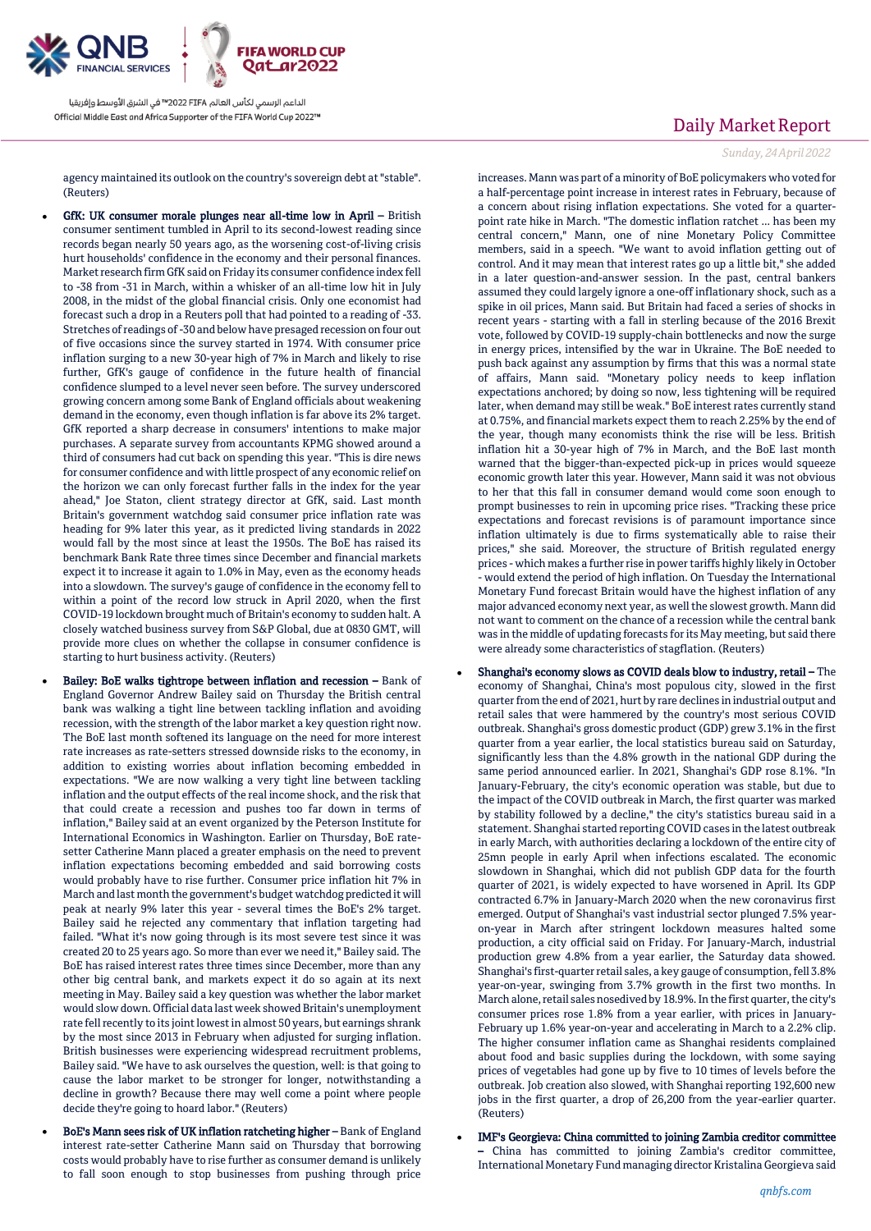

agency maintained its outlook on the country's sovereign debt at "stable". (Reuters)

- GfK: UK consumer morale plunges near all-time low in April British consumer sentiment tumbled in April to its second-lowest reading since records began nearly 50 years ago, as the worsening cost-of-living crisis hurt households' confidence in the economy and their personal finances. Market research firm GfK said on Friday its consumer confidence index fell to -38 from -31 in March, within a whisker of an all-time low hit in July 2008, in the midst of the global financial crisis. Only one economist had forecast such a drop in a Reuters poll that had pointed to a reading of -33. Stretches of readings of -30 and below have presaged recession on four out of five occasions since the survey started in 1974. With consumer price inflation surging to a new 30-year high of 7% in March and likely to rise further, GfK's gauge of confidence in the future health of financial confidence slumped to a level never seen before. The survey underscored growing concern among some Bank of England officials about weakening demand in the economy, even though inflation is far above its 2% target. GfK reported a sharp decrease in consumers' intentions to make major purchases. A separate survey from accountants KPMG showed around a third of consumers had cut back on spending this year. "This is dire news for consumer confidence and with little prospect of any economic relief on the horizon we can only forecast further falls in the index for the year ahead," Joe Staton, client strategy director at GfK, said. Last month Britain's government watchdog said consumer price inflation rate was heading for 9% later this year, as it predicted living standards in 2022 would fall by the most since at least the 1950s. The BoE has raised its benchmark Bank Rate three times since December and financial markets expect it to increase it again to 1.0% in May, even as the economy heads into a slowdown. The survey's gauge of confidence in the economy fell to within a point of the record low struck in April 2020, when the first COVID-19 lockdown brought much of Britain's economy to sudden halt. A closely watched business survey from S&P Global, due at 0830 GMT, will provide more clues on whether the collapse in consumer confidence is starting to hurt business activity. (Reuters)
	- Bailey: BoE walks tightrope between inflation and recession Bank of England Governor Andrew Bailey said on Thursday the British central bank was walking a tight line between tackling inflation and avoiding recession, with the strength of the labor market a key question right now. The BoE last month softened its language on the need for more interest rate increases as rate-setters stressed downside risks to the economy, in addition to existing worries about inflation becoming embedded in expectations. "We are now walking a very tight line between tackling inflation and the output effects of the real income shock, and the risk that that could create a recession and pushes too far down in terms of inflation," Bailey said at an event organized by the Peterson Institute for International Economics in Washington. Earlier on Thursday, BoE ratesetter Catherine Mann placed a greater emphasis on the need to prevent inflation expectations becoming embedded and said borrowing costs would probably have to rise further. Consumer price inflation hit 7% in March and last month the government's budget watchdog predicted it will peak at nearly 9% later this year - several times the BoE's 2% target. Bailey said he rejected any commentary that inflation targeting had failed. "What it's now going through is its most severe test since it was created 20 to 25 years ago. So more than ever we need it," Bailey said. The BoE has raised interest rates three times since December, more than any other big central bank, and markets expect it do so again at its next meeting in May. Bailey said a key question was whether the labor market would slow down. Official data last week showed Britain's unemployment rate fell recently to its joint lowest in almost 50 years, but earnings shrank by the most since 2013 in February when adjusted for surging inflation. British businesses were experiencing widespread recruitment problems, Bailey said. "We have to ask ourselves the question, well: is that going to cause the labor market to be stronger for longer, notwithstanding a decline in growth? Because there may well come a point where people decide they're going to hoard labor." (Reuters)
	- BoE's Mann sees risk of UK inflation ratcheting higher Bank of England interest rate-setter Catherine Mann said on Thursday that borrowing costs would probably have to rise further as consumer demand is unlikely to fall soon enough to stop businesses from pushing through price

## Daily Market Report

#### *Sunday, 24April2022*

increases. Mann was part of a minority of BoE policymakers who voted for a half-percentage point increase in interest rates in February, because of a concern about rising inflation expectations. She voted for a quarterpoint rate hike in March. "The domestic inflation ratchet ... has been my central concern," Mann, one of nine Monetary Policy Committee members, said in a speech. "We want to avoid inflation getting out of control. And it may mean that interest rates go up a little bit," she added in a later question-and-answer session. In the past, central bankers assumed they could largely ignore a one-off inflationary shock, such as a spike in oil prices, Mann said. But Britain had faced a series of shocks in recent years - starting with a fall in sterling because of the 2016 Brexit vote, followed by COVID-19 supply-chain bottlenecks and now the surge in energy prices, intensified by the war in Ukraine. The BoE needed to push back against any assumption by firms that this was a normal state of affairs, Mann said. "Monetary policy needs to keep inflation expectations anchored; by doing so now, less tightening will be required later, when demand may still be weak." BoE interest rates currently stand at 0.75%, and financial markets expect them to reach 2.25% by the end of the year, though many economists think the rise will be less. British inflation hit a 30-year high of 7% in March, and the BoE last month warned that the bigger-than-expected pick-up in prices would squeeze economic growth later this year. However, Mann said it was not obvious to her that this fall in consumer demand would come soon enough to prompt businesses to rein in upcoming price rises. "Tracking these price expectations and forecast revisions is of paramount importance since inflation ultimately is due to firms systematically able to raise their prices," she said. Moreover, the structure of British regulated energy prices - which makes a further rise in power tariffs highly likely in October - would extend the period of high inflation. On Tuesday the International Monetary Fund forecast Britain would have the highest inflation of any major advanced economy next year, as well the slowest growth. Mann did not want to comment on the chance of a recession while the central bank was in the middle of updating forecasts for its May meeting, but said there were already some characteristics of stagflation. (Reuters)

- Shanghai's economy slows as COVID deals blow to industry, retail The economy of Shanghai, China's most populous city, slowed in the first quarter from the end of 2021, hurt by rare declines in industrial output and retail sales that were hammered by the country's most serious COVID outbreak. Shanghai's gross domestic product (GDP) grew 3.1% in the first quarter from a year earlier, the local statistics bureau said on Saturday, significantly less than the 4.8% growth in the national GDP during the same period announced earlier. In 2021, Shanghai's GDP rose 8.1%. "In January-February, the city's economic operation was stable, but due to the impact of the COVID outbreak in March, the first quarter was marked by stability followed by a decline," the city's statistics bureau said in a statement. Shanghai started reporting COVID cases in the latest outbreak in early March, with authorities declaring a lockdown of the entire city of 25mn people in early April when infections escalated. The economic slowdown in Shanghai, which did not publish GDP data for the fourth quarter of 2021, is widely expected to have worsened in April. Its GDP contracted 6.7% in January-March 2020 when the new coronavirus first emerged. Output of Shanghai's vast industrial sector plunged 7.5% yearon-year in March after stringent lockdown measures halted some production, a city official said on Friday. For January-March, industrial production grew 4.8% from a year earlier, the Saturday data showed. Shanghai's first-quarter retail sales, a key gauge of consumption, fell 3.8% year-on-year, swinging from 3.7% growth in the first two months. In March alone, retail sales nosedived by 18.9%. In the first quarter, the city's consumer prices rose 1.8% from a year earlier, with prices in January-February up 1.6% year-on-year and accelerating in March to a 2.2% clip. The higher consumer inflation came as Shanghai residents complained about food and basic supplies during the lockdown, with some saying prices of vegetables had gone up by five to 10 times of levels before the outbreak. Job creation also slowed, with Shanghai reporting 192,600 new jobs in the first quarter, a drop of 26,200 from the year-earlier quarter. (Reuters)
- IMF's Georgieva: China committed to joining Zambia creditor committee – China has committed to joining Zambia's creditor committee, International Monetary Fund managing director Kristalina Georgieva said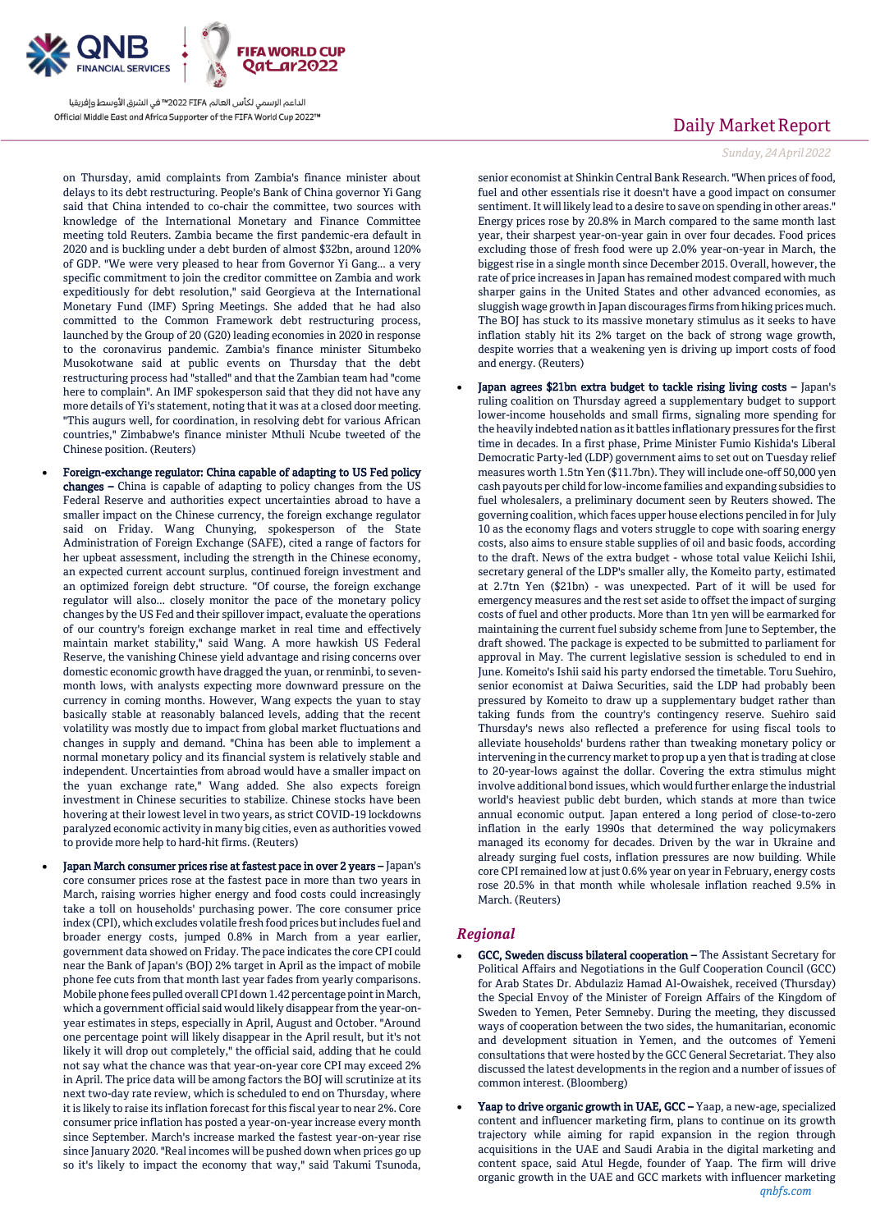

on Thursday, amid complaints from Zambia's finance minister about delays to its debt restructuring. People's Bank of China governor Yi Gang said that China intended to co-chair the committee, two sources with knowledge of the International Monetary and Finance Committee meeting told Reuters. Zambia became the first pandemic-era default in 2020 and is buckling under a debt burden of almost \$32bn, around 120% of GDP. "We were very pleased to hear from Governor Yi Gang... a very specific commitment to join the creditor committee on Zambia and work expeditiously for debt resolution," said Georgieva at the International Monetary Fund (IMF) Spring Meetings. She added that he had also committed to the Common Framework debt restructuring process, launched by the Group of 20 (G20) leading economies in 2020 in response to the coronavirus pandemic. Zambia's finance minister Situmbeko Musokotwane said at public events on Thursday that the debt restructuring process had "stalled" and that the Zambian team had "come here to complain". An IMF spokesperson said that they did not have any more details of Yi's statement, noting that it was at a closed door meeting. "This augurs well, for coordination, in resolving debt for various African countries," Zimbabwe's finance minister Mthuli Ncube tweeted of the Chinese position. (Reuters)

- Foreign-exchange regulator: China capable of adapting to US Fed policy changes – China is capable of adapting to policy changes from the US Federal Reserve and authorities expect uncertainties abroad to have a smaller impact on the Chinese currency, the foreign exchange regulator said on Friday. Wang Chunying, spokesperson of the State Administration of Foreign Exchange (SAFE), cited a range of factors for her upbeat assessment, including the strength in the Chinese economy, an expected current account surplus, continued foreign investment and an optimized foreign debt structure. "Of course, the foreign exchange regulator will also... closely monitor the pace of the monetary policy changes by the US Fed and their spillover impact, evaluate the operations of our country's foreign exchange market in real time and effectively maintain market stability," said Wang. A more hawkish US Federal Reserve, the vanishing Chinese yield advantage and rising concerns over domestic economic growth have dragged the yuan, or renminbi, to sevenmonth lows, with analysts expecting more downward pressure on the currency in coming months. However, Wang expects the yuan to stay basically stable at reasonably balanced levels, adding that the recent volatility was mostly due to impact from global market fluctuations and changes in supply and demand. "China has been able to implement a normal monetary policy and its financial system is relatively stable and independent. Uncertainties from abroad would have a smaller impact on the yuan exchange rate," Wang added. She also expects foreign investment in Chinese securities to stabilize. Chinese stocks have been hovering at their lowest level in two years, as strict COVID-19 lockdowns paralyzed economic activity in many big cities, even as authorities vowed to provide more help to hard-hit firms. (Reuters)
- Japan March consumer prices rise at fastest pace in over 2 years Japan's core consumer prices rose at the fastest pace in more than two years in March, raising worries higher energy and food costs could increasingly take a toll on households' purchasing power. The core consumer price index (CPI), which excludes volatile fresh food prices but includes fuel and broader energy costs, jumped 0.8% in March from a year earlier, government data showed on Friday. The pace indicates the core CPI could near the Bank of Japan's (BOJ) 2% target in April as the impact of mobile phone fee cuts from that month last year fades from yearly comparisons. Mobile phone fees pulled overall CPI down 1.42 percentage point in March, which a government official said would likely disappear from the year-onyear estimates in steps, especially in April, August and October. "Around one percentage point will likely disappear in the April result, but it's not likely it will drop out completely," the official said, adding that he could not say what the chance was that year-on-year core CPI may exceed 2% in April. The price data will be among factors the BOJ will scrutinize at its next two-day rate review, which is scheduled to end on Thursday, where it is likely to raise its inflation forecast for this fiscal year to near 2%. Core consumer price inflation has posted a year-on-year increase every month since September. March's increase marked the fastest year-on-year rise since January 2020. "Real incomes will be pushed down when prices go up so it's likely to impact the economy that way," said Takumi Tsunoda,

## Daily Market Report

#### *Sunday, 24April2022*

senior economist at Shinkin Central Bank Research. "When prices of food, fuel and other essentials rise it doesn't have a good impact on consumer sentiment. It will likely lead to a desire to save on spending in other areas." Energy prices rose by 20.8% in March compared to the same month last year, their sharpest year-on-year gain in over four decades. Food prices excluding those of fresh food were up 2.0% year-on-year in March, the biggest rise in a single month since December 2015. Overall, however, the rate of price increases in Japan has remained modest compared with much sharper gains in the United States and other advanced economies, as sluggish wage growth in Japan discourages firms from hiking prices much. The BOJ has stuck to its massive monetary stimulus as it seeks to have inflation stably hit its 2% target on the back of strong wage growth, despite worries that a weakening yen is driving up import costs of food and energy. (Reuters)

 Japan agrees \$21bn extra budget to tackle rising living costs – Japan's ruling coalition on Thursday agreed a supplementary budget to support lower-income households and small firms, signaling more spending for the heavily indebted nation as it battles inflationary pressures for the first time in decades. In a first phase, Prime Minister Fumio Kishida's Liberal Democratic Party-led (LDP) government aims to set out on Tuesday relief measures worth 1.5tn Yen (\$11.7bn). They will include one-off 50,000 yen cash payouts per child for low-income families and expanding subsidies to fuel wholesalers, a preliminary document seen by Reuters showed. The governing coalition, which faces upper house elections penciled in for July 10 as the economy flags and voters struggle to cope with soaring energy costs, also aims to ensure stable supplies of oil and basic foods, according to the draft. News of the extra budget - whose total value Keiichi Ishii, secretary general of the LDP's smaller ally, the Komeito party, estimated at 2.7tn Yen (\$21bn) - was unexpected. Part of it will be used for emergency measures and the rest set aside to offset the impact of surging costs of fuel and other products. More than 1tn yen will be earmarked for maintaining the current fuel subsidy scheme from June to September, the draft showed. The package is expected to be submitted to parliament for approval in May. The current legislative session is scheduled to end in June. Komeito's Ishii said his party endorsed the timetable. Toru Suehiro, senior economist at Daiwa Securities, said the LDP had probably been pressured by Komeito to draw up a supplementary budget rather than taking funds from the country's contingency reserve. Suehiro said Thursday's news also reflected a preference for using fiscal tools to alleviate households' burdens rather than tweaking monetary policy or intervening in the currency market to prop up a yen that is trading at close to 20-year-lows against the dollar. Covering the extra stimulus might involve additional bond issues, which would further enlarge the industrial world's heaviest public debt burden, which stands at more than twice annual economic output. Japan entered a long period of close-to-zero inflation in the early 1990s that determined the way policymakers managed its economy for decades. Driven by the war in Ukraine and already surging fuel costs, inflation pressures are now building. While core CPI remained low at just 0.6% year on year in February, energy costs rose 20.5% in that month while wholesale inflation reached 9.5% in March. (Reuters)

#### *Regional*

- GCC, Sweden discuss bilateral cooperation The Assistant Secretary for Political Affairs and Negotiations in the Gulf Cooperation Council (GCC) for Arab States Dr. Abdulaziz Hamad Al-Owaishek, received (Thursday) the Special Envoy of the Minister of Foreign Affairs of the Kingdom of Sweden to Yemen, Peter Semneby. During the meeting, they discussed ways of cooperation between the two sides, the humanitarian, economic and development situation in Yemen, and the outcomes of Yemeni consultations that were hosted by the GCC General Secretariat. They also discussed the latest developments in the region and a number of issues of common interest. (Bloomberg)
- Yaap to drive organic growth in UAE, GCC Yaap, a new-age, specialized content and influencer marketing firm, plans to continue on its growth trajectory while aiming for rapid expansion in the region through acquisitions in the UAE and Saudi Arabia in the digital marketing and content space, said Atul Hegde, founder of Yaap. The firm will drive organic growth in the UAE and GCC markets with influencer marketing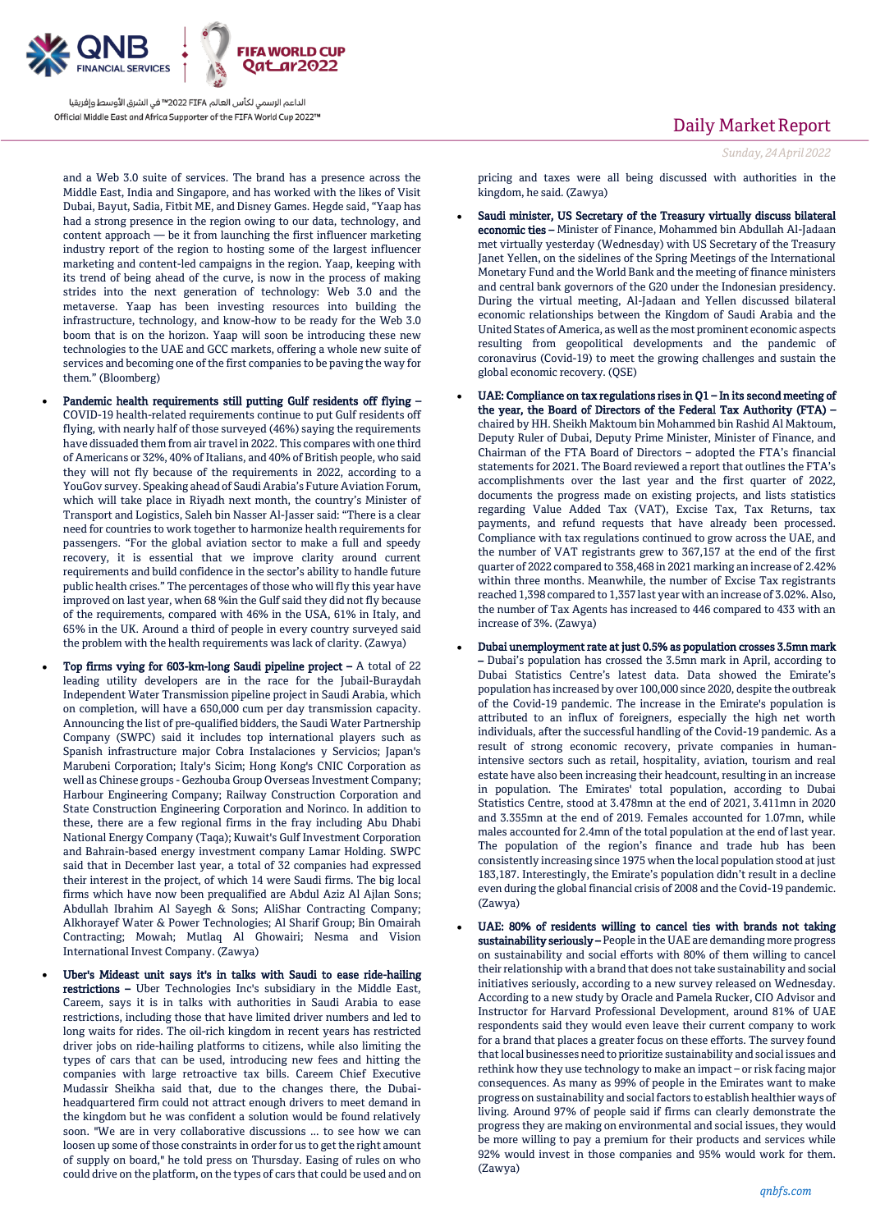

and a Web 3.0 suite of services. The brand has a presence across the Middle East, India and Singapore, and has worked with the likes of Visit Dubai, Bayut, Sadia, Fitbit ME, and Disney Games. Hegde said, "Yaap has had a strong presence in the region owing to our data, technology, and content approach — be it from launching the first influencer marketing industry report of the region to hosting some of the largest influencer marketing and content-led campaigns in the region. Yaap, keeping with its trend of being ahead of the curve, is now in the process of making strides into the next generation of technology: Web 3.0 and the metaverse. Yaap has been investing resources into building the infrastructure, technology, and know-how to be ready for the Web 3.0 boom that is on the horizon. Yaap will soon be introducing these new technologies to the UAE and GCC markets, offering a whole new suite of services and becoming one of the first companies to be paving the way for them." (Bloomberg)

- Pandemic health requirements still putting Gulf residents off flying COVID-19 health-related requirements continue to put Gulf residents off flying, with nearly half of those surveyed (46%) saying the requirements have dissuaded them from air travel in 2022. This compares with one third of Americans or 32%, 40% of Italians, and 40% of British people, who said they will not fly because of the requirements in 2022, according to a YouGov survey. Speaking ahead of Saudi Arabia's Future Aviation Forum, which will take place in Riyadh next month, the country's Minister of Transport and Logistics, Saleh bin Nasser Al-Jasser said: "There is a clear need for countries to work together to harmonize health requirements for passengers. "For the global aviation sector to make a full and speedy recovery, it is essential that we improve clarity around current requirements and build confidence in the sector's ability to handle future public health crises." The percentages of those who will fly this year have improved on last year, when 68 %in the Gulf said they did not fly because of the requirements, compared with 46% in the USA, 61% in Italy, and 65% in the UK. Around a third of people in every country surveyed said the problem with the health requirements was lack of clarity. (Zawya)
- Top firms vying for 603-km-long Saudi pipeline project A total of 22 leading utility developers are in the race for the Jubail-Buraydah Independent Water Transmission pipeline project in Saudi Arabia, which on completion, will have a 650,000 cum per day transmission capacity. Announcing the list of pre-qualified bidders, the Saudi Water Partnership Company (SWPC) said it includes top international players such as Spanish infrastructure major Cobra Instalaciones y Servicios; Japan's Marubeni Corporation; Italy's Sicim; Hong Kong's CNIC Corporation as well as Chinese groups - Gezhouba Group Overseas Investment Company; Harbour Engineering Company; Railway Construction Corporation and State Construction Engineering Corporation and Norinco. In addition to these, there are a few regional firms in the fray including Abu Dhabi National Energy Company (Taqa); Kuwait's Gulf Investment Corporation and Bahrain-based energy investment company Lamar Holding. SWPC said that in December last year, a total of 32 companies had expressed their interest in the project, of which 14 were Saudi firms. The big local firms which have now been prequalified are Abdul Aziz Al Ajlan Sons; Abdullah Ibrahim Al Sayegh & Sons; AliShar Contracting Company; Alkhorayef Water & Power Technologies; Al Sharif Group; Bin Omairah Contracting; Mowah; Mutlaq Al Ghowairi; Nesma and Vision International Invest Company. (Zawya)
- Uber's Mideast unit says it's in talks with Saudi to ease ride-hailing restrictions – Uber Technologies Inc's subsidiary in the Middle East, Careem, says it is in talks with authorities in Saudi Arabia to ease restrictions, including those that have limited driver numbers and led to long waits for rides. The oil-rich kingdom in recent years has restricted driver jobs on ride-hailing platforms to citizens, while also limiting the types of cars that can be used, introducing new fees and hitting the companies with large retroactive tax bills. Careem Chief Executive Mudassir Sheikha said that, due to the changes there, the Dubaiheadquartered firm could not attract enough drivers to meet demand in the kingdom but he was confident a solution would be found relatively soon. "We are in very collaborative discussions ... to see how we can loosen up some of those constraints in order for us to get the right amount of supply on board," he told press on Thursday. Easing of rules on who could drive on the platform, on the types of cars that could be used and on

## Daily Market Report

pricing and taxes were all being discussed with authorities in the kingdom, he said. (Zawya)

- Saudi minister, US Secretary of the Treasury virtually discuss bilateral economic ties – Minister of Finance, Mohammed bin Abdullah Al-Jadaan met virtually yesterday (Wednesday) with US Secretary of the Treasury Janet Yellen, on the sidelines of the Spring Meetings of the International Monetary Fund and the World Bank and the meeting of finance ministers and central bank governors of the G20 under the Indonesian presidency. During the virtual meeting, Al-Jadaan and Yellen discussed bilateral economic relationships between the Kingdom of Saudi Arabia and the United States of America, as well as the most prominent economic aspects resulting from geopolitical developments and the pandemic of coronavirus (Covid-19) to meet the growing challenges and sustain the global economic recovery. (QSE)
- UAE: Compliance on tax regulations rises in Q1 In its second meeting of the year, the Board of Directors of the Federal Tax Authority (FTA) – chaired by HH. Sheikh Maktoum bin Mohammed bin Rashid Al Maktoum, Deputy Ruler of Dubai, Deputy Prime Minister, Minister of Finance, and Chairman of the FTA Board of Directors – adopted the FTA's financial statements for 2021. The Board reviewed a report that outlines the FTA's accomplishments over the last year and the first quarter of 2022, documents the progress made on existing projects, and lists statistics regarding Value Added Tax (VAT), Excise Tax, Tax Returns, tax payments, and refund requests that have already been processed. Compliance with tax regulations continued to grow across the UAE, and the number of VAT registrants grew to 367,157 at the end of the first quarter of 2022 compared to 358,468 in 2021 marking an increase of 2.42% within three months. Meanwhile, the number of Excise Tax registrants reached 1,398 compared to 1,357 last year with an increase of 3.02%. Also, the number of Tax Agents has increased to 446 compared to 433 with an increase of 3%. (Zawya)
- Dubai unemployment rate at just 0.5% as population crosses 3.5mn mark – Dubai's population has crossed the 3.5mn mark in April, according to Dubai Statistics Centre's latest data. Data showed the Emirate's population has increased by over 100,000 since 2020, despite the outbreak of the Covid-19 pandemic. The increase in the Emirate's population is attributed to an influx of foreigners, especially the high net worth individuals, after the successful handling of the Covid-19 pandemic. As a result of strong economic recovery, private companies in humanintensive sectors such as retail, hospitality, aviation, tourism and real estate have also been increasing their headcount, resulting in an increase in population. The Emirates' total population, according to Dubai Statistics Centre, stood at 3.478mn at the end of 2021, 3.411mn in 2020 and 3.355mn at the end of 2019. Females accounted for 1.07mn, while males accounted for 2.4mn of the total population at the end of last year. The population of the region's finance and trade hub has been consistently increasing since 1975 when the local population stood at just 183,187. Interestingly, the Emirate's population didn't result in a decline even during the global financial crisis of 2008 and the Covid-19 pandemic. (Zawya)
- UAE: 80% of residents willing to cancel ties with brands not taking sustainability seriously – People in the UAE are demanding more progress on sustainability and social efforts with 80% of them willing to cancel their relationship with a brand that does not take sustainability and social initiatives seriously, according to a new survey released on Wednesday. According to a new study by Oracle and Pamela Rucker, CIO Advisor and Instructor for Harvard Professional Development, around 81% of UAE respondents said they would even leave their current company to work for a brand that places a greater focus on these efforts. The survey found that local businesses need to prioritize sustainability and social issues and rethink how they use technology to make an impact – or risk facing major consequences. As many as 99% of people in the Emirates want to make progress on sustainability and social factors to establish healthier ways of living. Around 97% of people said if firms can clearly demonstrate the progress they are making on environmental and social issues, they would be more willing to pay a premium for their products and services while 92% would invest in those companies and 95% would work for them. (Zawya)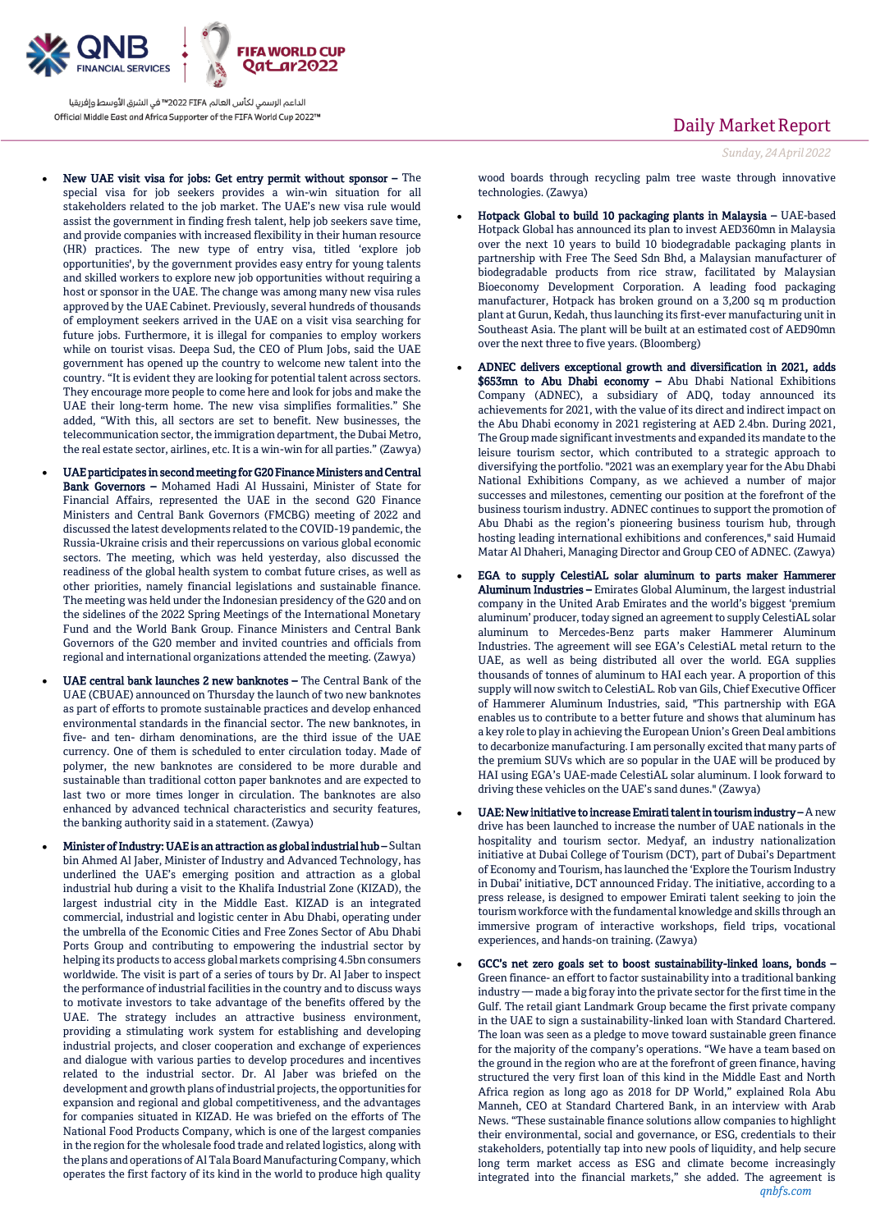

- New UAE visit visa for jobs: Get entry permit without sponsor The special visa for job seekers provides a win-win situation for all stakeholders related to the job market. The UAE's new visa rule would assist the government in finding fresh talent, help job seekers save time, and provide companies with increased flexibility in their human resource (HR) practices. The new type of entry visa, titled 'explore job opportunities', by the government provides easy entry for young talents and skilled workers to explore new job opportunities without requiring a host or sponsor in the UAE. The change was among many new visa rules approved by the UAE Cabinet. Previously, several hundreds of thousands of employment seekers arrived in the UAE on a visit visa searching for future jobs. Furthermore, it is illegal for companies to employ workers while on tourist visas. Deepa Sud, the CEO of Plum Jobs, said the UAE government has opened up the country to welcome new talent into the country. "It is evident they are looking for potential talent across sectors. They encourage more people to come here and look for jobs and make the UAE their long-term home. The new visa simplifies formalities." She added, "With this, all sectors are set to benefit. New businesses, the telecommunication sector, the immigration department, the Dubai Metro, the real estate sector, airlines, etc. It is a win-win for all parties." (Zawya)
- UAE participates in second meeting for G20 Finance Ministers and Central Bank Governors – Mohamed Hadi Al Hussaini, Minister of State for Financial Affairs, represented the UAE in the second G20 Finance Ministers and Central Bank Governors (FMCBG) meeting of 2022 and discussed the latest developments related to the COVID-19 pandemic, the Russia-Ukraine crisis and their repercussions on various global economic sectors. The meeting, which was held yesterday, also discussed the readiness of the global health system to combat future crises, as well as other priorities, namely financial legislations and sustainable finance. The meeting was held under the Indonesian presidency of the G20 and on the sidelines of the 2022 Spring Meetings of the International Monetary Fund and the World Bank Group. Finance Ministers and Central Bank Governors of the G20 member and invited countries and officials from regional and international organizations attended the meeting. (Zawya)
- UAE central bank launches 2 new banknotes The Central Bank of the UAE (CBUAE) announced on Thursday the launch of two new banknotes as part of efforts to promote sustainable practices and develop enhanced environmental standards in the financial sector. The new banknotes, in five- and ten- dirham denominations, are the third issue of the UAE currency. One of them is scheduled to enter circulation today. Made of polymer, the new banknotes are considered to be more durable and sustainable than traditional cotton paper banknotes and are expected to last two or more times longer in circulation. The banknotes are also enhanced by advanced technical characteristics and security features, the banking authority said in a statement. (Zawya)
- Minister of Industry: UAE is an attraction as global industrial hub Sultan bin Ahmed Al Jaber, Minister of Industry and Advanced Technology, has underlined the UAE's emerging position and attraction as a global industrial hub during a visit to the Khalifa Industrial Zone (KIZAD), the largest industrial city in the Middle East. KIZAD is an integrated commercial, industrial and logistic center in Abu Dhabi, operating under the umbrella of the Economic Cities and Free Zones Sector of Abu Dhabi Ports Group and contributing to empowering the industrial sector by helping its products to access global markets comprising 4.5bn consumers worldwide. The visit is part of a series of tours by Dr. Al Jaber to inspect the performance of industrial facilities in the country and to discuss ways to motivate investors to take advantage of the benefits offered by the UAE. The strategy includes an attractive business environment, providing a stimulating work system for establishing and developing industrial projects, and closer cooperation and exchange of experiences and dialogue with various parties to develop procedures and incentives related to the industrial sector. Dr. Al Jaber was briefed on the development and growth plans of industrial projects, the opportunities for expansion and regional and global competitiveness, and the advantages for companies situated in KIZAD. He was briefed on the efforts of The National Food Products Company, which is one of the largest companies in the region for the wholesale food trade and related logistics, along with the plans and operations of Al Tala Board Manufacturing Company, which operates the first factory of its kind in the world to produce high quality

## Daily Market Report

```
Sunday, 24April2022
```
wood boards through recycling palm tree waste through innovative technologies. (Zawya)

- Hotpack Global to build 10 packaging plants in Malaysia UAE-based Hotpack Global has announced its plan to invest AED360mn in Malaysia over the next 10 years to build 10 biodegradable packaging plants in partnership with Free The Seed Sdn Bhd, a Malaysian manufacturer of biodegradable products from rice straw, facilitated by Malaysian Bioeconomy Development Corporation. A leading food packaging manufacturer, Hotpack has broken ground on a 3,200 sq m production plant at Gurun, Kedah, thus launching its first-ever manufacturing unit in Southeast Asia. The plant will be built at an estimated cost of AED90mn over the next three to five years. (Bloomberg)
- ADNEC delivers exceptional growth and diversification in 2021, adds \$653mn to Abu Dhabi economy – Abu Dhabi National Exhibitions Company (ADNEC), a subsidiary of ADQ, today announced its achievements for 2021, with the value of its direct and indirect impact on the Abu Dhabi economy in 2021 registering at AED 2.4bn. During 2021, The Group made significant investments and expanded its mandate to the leisure tourism sector, which contributed to a strategic approach to diversifying the portfolio. "2021 was an exemplary year for the Abu Dhabi National Exhibitions Company, as we achieved a number of major successes and milestones, cementing our position at the forefront of the business tourism industry. ADNEC continues to support the promotion of Abu Dhabi as the region's pioneering business tourism hub, through hosting leading international exhibitions and conferences," said Humaid Matar Al Dhaheri, Managing Director and Group CEO of ADNEC. (Zawya)
- EGA to supply CelestiAL solar aluminum to parts maker Hammerer Aluminum Industries – Emirates Global Aluminum, the largest industrial company in the United Arab Emirates and the world's biggest 'premium aluminum' producer, today signed an agreement to supply CelestiAL solar aluminum to Mercedes-Benz parts maker Hammerer Aluminum Industries. The agreement will see EGA's CelestiAL metal return to the UAE, as well as being distributed all over the world. EGA supplies thousands of tonnes of aluminum to HAI each year. A proportion of this supply will now switch to CelestiAL. Rob van Gils, Chief Executive Officer of Hammerer Aluminum Industries, said, "This partnership with EGA enables us to contribute to a better future and shows that aluminum has a key role to play in achieving the European Union's Green Deal ambitions to decarbonize manufacturing. I am personally excited that many parts of the premium SUVs which are so popular in the UAE will be produced by HAI using EGA's UAE-made CelestiAL solar aluminum. I look forward to driving these vehicles on the UAE's sand dunes." (Zawya)
- UAE: New initiative to increase Emirati talent in tourism industry A new drive has been launched to increase the number of UAE nationals in the hospitality and tourism sector. Medyaf, an industry nationalization initiative at Dubai College of Tourism (DCT), part of Dubai's Department of Economy and Tourism, has launched the 'Explore the Tourism Industry in Dubai' initiative, DCT announced Friday. The initiative, according to a press release, is designed to empower Emirati talent seeking to join the tourism workforce with the fundamental knowledge and skills through an immersive program of interactive workshops, field trips, vocational experiences, and hands-on training. (Zawya)
- *qnbfs.com* GCC's net zero goals set to boost sustainability-linked loans, bonds – Green finance- an effort to factor sustainability into a traditional banking industry — made a big foray into the private sector for the first time in the Gulf. The retail giant Landmark Group became the first private company in the UAE to sign a sustainability-linked loan with Standard Chartered. The loan was seen as a pledge to move toward sustainable green finance for the majority of the company's operations. "We have a team based on the ground in the region who are at the forefront of green finance, having structured the very first loan of this kind in the Middle East and North Africa region as long ago as 2018 for DP World," explained Rola Abu Manneh, CEO at Standard Chartered Bank, in an interview with Arab News. "These sustainable finance solutions allow companies to highlight their environmental, social and governance, or ESG, credentials to their stakeholders, potentially tap into new pools of liquidity, and help secure long term market access as ESG and climate become increasingly integrated into the financial markets," she added. The agreement is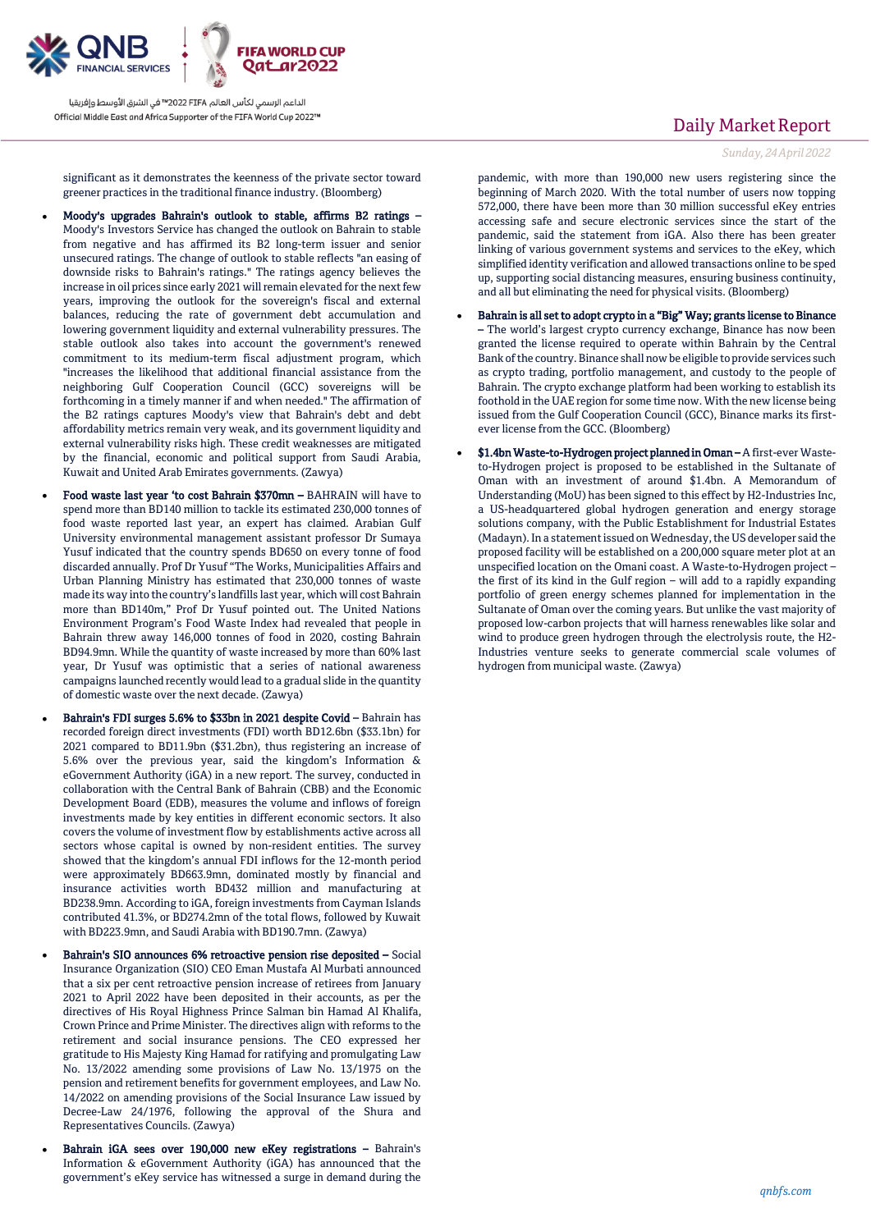

significant as it demonstrates the keenness of the private sector toward greener practices in the traditional finance industry. (Bloomberg)

- Moody's upgrades Bahrain's outlook to stable, affirms B2 ratings Moody's Investors Service has changed the outlook on Bahrain to stable from negative and has affirmed its B2 long-term issuer and senior unsecured ratings. The change of outlook to stable reflects "an easing of downside risks to Bahrain's ratings." The ratings agency believes the increase in oil prices since early 2021 will remain elevated for the next few years, improving the outlook for the sovereign's fiscal and external balances, reducing the rate of government debt accumulation and lowering government liquidity and external vulnerability pressures. The stable outlook also takes into account the government's renewed commitment to its medium-term fiscal adjustment program, which "increases the likelihood that additional financial assistance from the neighboring Gulf Cooperation Council (GCC) sovereigns will be forthcoming in a timely manner if and when needed." The affirmation of the B2 ratings captures Moody's view that Bahrain's debt and debt affordability metrics remain very weak, and its government liquidity and external vulnerability risks high. These credit weaknesses are mitigated by the financial, economic and political support from Saudi Arabia, Kuwait and United Arab Emirates governments. (Zawya)
- Food waste last year 'to cost Bahrain \$370mn BAHRAIN will have to spend more than BD140 million to tackle its estimated 230,000 tonnes of food waste reported last year, an expert has claimed. Arabian Gulf University environmental management assistant professor Dr Sumaya Yusuf indicated that the country spends BD650 on every tonne of food discarded annually. Prof Dr Yusuf "The Works, Municipalities Affairs and Urban Planning Ministry has estimated that 230,000 tonnes of waste made its way into the country's landfills last year, which will cost Bahrain more than BD140m," Prof Dr Yusuf pointed out. The United Nations Environment Program's Food Waste Index had revealed that people in Bahrain threw away 146,000 tonnes of food in 2020, costing Bahrain BD94.9mn. While the quantity of waste increased by more than 60% last year, Dr Yusuf was optimistic that a series of national awareness campaigns launched recently would lead to a gradual slide in the quantity of domestic waste over the next decade. (Zawya)
- Bahrain's FDI surges 5.6% to \$33bn in 2021 despite Covid Bahrain has recorded foreign direct investments (FDI) worth BD12.6bn (\$33.1bn) for 2021 compared to BD11.9bn (\$31.2bn), thus registering an increase of 5.6% over the previous year, said the kingdom's Information & eGovernment Authority (iGA) in a new report. The survey, conducted in collaboration with the Central Bank of Bahrain (CBB) and the Economic Development Board (EDB), measures the volume and inflows of foreign investments made by key entities in different economic sectors. It also covers the volume of investment flow by establishments active across all sectors whose capital is owned by non-resident entities. The survey showed that the kingdom's annual FDI inflows for the 12-month period were approximately BD663.9mn, dominated mostly by financial and insurance activities worth BD432 million and manufacturing at BD238.9mn. According to iGA, foreign investments from Cayman Islands contributed 41.3%, or BD274.2mn of the total flows, followed by Kuwait with BD223.9mn, and Saudi Arabia with BD190.7mn. (Zawya)
- Bahrain's SIO announces 6% retroactive pension rise deposited Social Insurance Organization (SIO) CEO Eman Mustafa Al Murbati announced that a six per cent retroactive pension increase of retirees from January 2021 to April 2022 have been deposited in their accounts, as per the directives of His Royal Highness Prince Salman bin Hamad Al Khalifa, Crown Prince and Prime Minister. The directives align with reforms to the retirement and social insurance pensions. The CEO expressed her gratitude to His Majesty King Hamad for ratifying and promulgating Law No. 13/2022 amending some provisions of Law No. 13/1975 on the pension and retirement benefits for government employees, and Law No. 14/2022 on amending provisions of the Social Insurance Law issued by Decree-Law 24/1976, following the approval of the Shura and Representatives Councils. (Zawya)
- Bahrain iGA sees over 190,000 new eKey registrations Bahrain's Information & eGovernment Authority (iGA) has announced that the government's eKey service has witnessed a surge in demand during the

## Daily Market Report

*Sunday, 24April2022*

pandemic, with more than 190,000 new users registering since the beginning of March 2020. With the total number of users now topping 572,000, there have been more than 30 million successful eKey entries accessing safe and secure electronic services since the start of the pandemic, said the statement from iGA. Also there has been greater linking of various government systems and services to the eKey, which simplified identity verification and allowed transactions online to be sped up, supporting social distancing measures, ensuring business continuity, and all but eliminating the need for physical visits. (Bloomberg)

- Bahrain is all set to adopt crypto in a "Big" Way; grants license to Binance – The world's largest crypto currency exchange, Binance has now been granted the license required to operate within Bahrain by the Central Bank of the country. Binance shall now be eligible to provide services such as crypto trading, portfolio management, and custody to the people of Bahrain. The crypto exchange platform had been working to establish its foothold in the UAE region for some time now. With the new license being issued from the Gulf Cooperation Council (GCC), Binance marks its firstever license from the GCC. (Bloomberg)
- \$1.4bn Waste-to-Hydrogen project planned in Oman A first-ever Wasteto-Hydrogen project is proposed to be established in the Sultanate of Oman with an investment of around \$1.4bn. A Memorandum of Understanding (MoU) has been signed to this effect by H2-Industries Inc, a US-headquartered global hydrogen generation and energy storage solutions company, with the Public Establishment for Industrial Estates (Madayn). In a statement issued on Wednesday, the US developer said the proposed facility will be established on a 200,000 square meter plot at an unspecified location on the Omani coast. A Waste-to-Hydrogen project – the first of its kind in the Gulf region – will add to a rapidly expanding portfolio of green energy schemes planned for implementation in the Sultanate of Oman over the coming years. But unlike the vast majority of proposed low-carbon projects that will harness renewables like solar and wind to produce green hydrogen through the electrolysis route, the H2- Industries venture seeks to generate commercial scale volumes of hydrogen from municipal waste. (Zawya)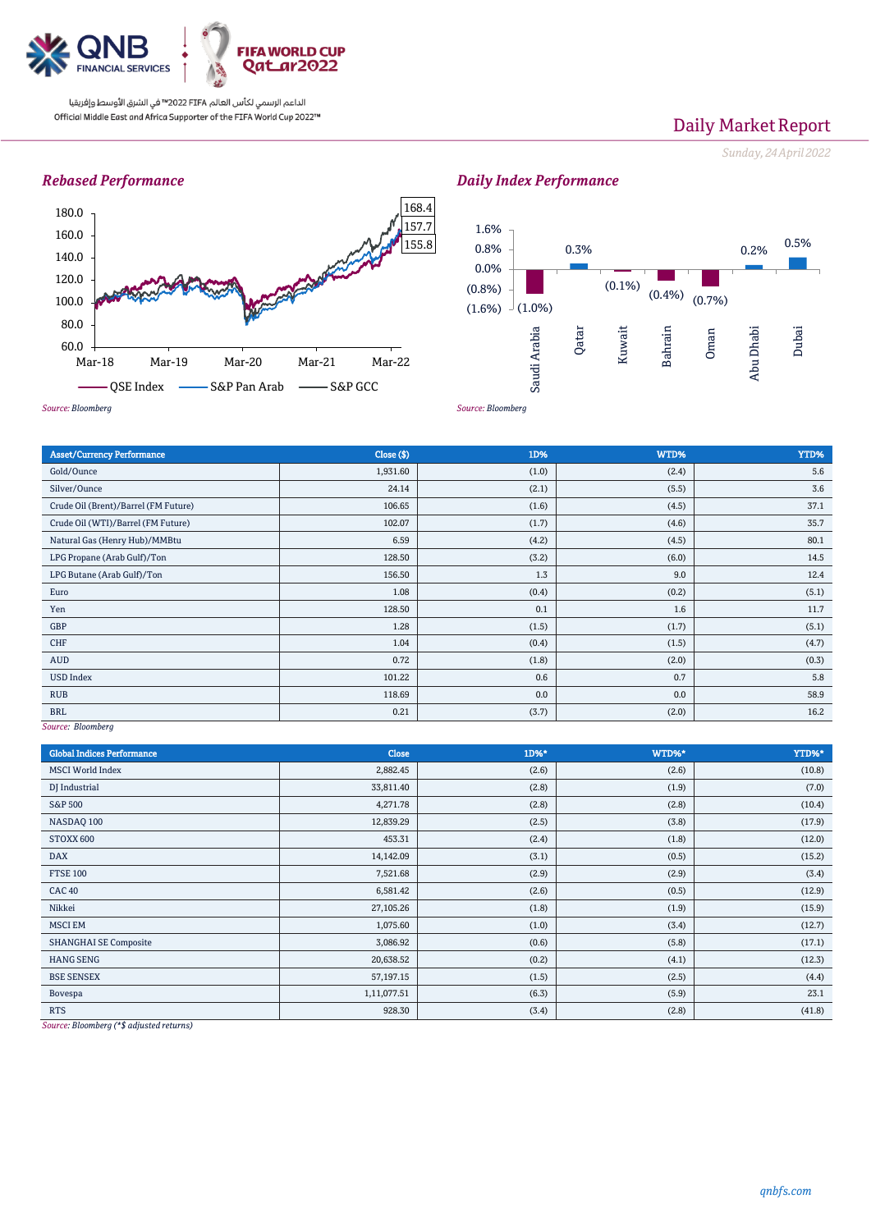

# Daily Market Report

*Sunday, 24April2022*

### *Rebased Performance*



*Daily Index Performance*



| <b>Asset/Currency Performance</b>    | Close (\$) | 1D%   | WTD%  | YTD%  |
|--------------------------------------|------------|-------|-------|-------|
| Gold/Ounce                           | 1,931.60   | (1.0) | (2.4) | 5.6   |
| Silver/Ounce                         | 24.14      | (2.1) | (5.5) | 3.6   |
| Crude Oil (Brent)/Barrel (FM Future) | 106.65     | (1.6) | (4.5) | 37.1  |
| Crude Oil (WTI)/Barrel (FM Future)   | 102.07     | (1.7) | (4.6) | 35.7  |
| Natural Gas (Henry Hub)/MMBtu        | 6.59       | (4.2) | (4.5) | 80.1  |
| LPG Propane (Arab Gulf)/Ton          | 128.50     | (3.2) | (6.0) | 14.5  |
| LPG Butane (Arab Gulf)/Ton           | 156.50     | 1.3   | 9.0   | 12.4  |
| Euro                                 | 1.08       | (0.4) | (0.2) | (5.1) |
| Yen                                  | 128.50     | 0.1   | 1.6   | 11.7  |
| GBP                                  | 1.28       | (1.5) | (1.7) | (5.1) |
| CHF                                  | 1.04       | (0.4) | (1.5) | (4.7) |
| <b>AUD</b>                           | 0.72       | (1.8) | (2.0) | (0.3) |
| <b>USD Index</b>                     | 101.22     | 0.6   | 0.7   | 5.8   |
| <b>RUB</b>                           | 118.69     | 0.0   | 0.0   | 58.9  |
| <b>BRL</b>                           | 0.21       | (3.7) | (2.0) | 16.2  |

*Source: Bloomberg*

| <b>Global Indices Performance</b>                                                                                                                                                                                                                      | <b>Close</b> | 1D%*  | WTD%* | YTD%*  |
|--------------------------------------------------------------------------------------------------------------------------------------------------------------------------------------------------------------------------------------------------------|--------------|-------|-------|--------|
| <b>MSCI World Index</b>                                                                                                                                                                                                                                | 2,882.45     | (2.6) | (2.6) | (10.8) |
| DJ Industrial                                                                                                                                                                                                                                          | 33,811.40    | (2.8) | (1.9) | (7.0)  |
| <b>S&amp;P 500</b>                                                                                                                                                                                                                                     | 4,271.78     | (2.8) | (2.8) | (10.4) |
| NASDAQ 100                                                                                                                                                                                                                                             | 12,839.29    | (2.5) | (3.8) | (17.9) |
| STOXX 600                                                                                                                                                                                                                                              | 453.31       | (2.4) | (1.8) | (12.0) |
| <b>DAX</b>                                                                                                                                                                                                                                             | 14,142.09    | (3.1) | (0.5) | (15.2) |
| <b>FTSE 100</b>                                                                                                                                                                                                                                        | 7,521.68     | (2.9) | (2.9) | (3.4)  |
| <b>CAC 40</b>                                                                                                                                                                                                                                          | 6,581.42     | (2.6) | (0.5) | (12.9) |
| Nikkei                                                                                                                                                                                                                                                 | 27,105.26    | (1.8) | (1.9) | (15.9) |
| <b>MSCI EM</b>                                                                                                                                                                                                                                         | 1,075.60     | (1.0) | (3.4) | (12.7) |
| <b>SHANGHAI SE Composite</b>                                                                                                                                                                                                                           | 3,086.92     | (0.6) | (5.8) | (17.1) |
| <b>HANG SENG</b>                                                                                                                                                                                                                                       | 20,638.52    | (0.2) | (4.1) | (12.3) |
| <b>BSE SENSEX</b>                                                                                                                                                                                                                                      | 57,197.15    | (1.5) | (2.5) | (4.4)  |
| Bovespa                                                                                                                                                                                                                                                | 1,11,077.51  | (6.3) | (5.9) | 23.1   |
| <b>RTS</b><br>the contract of the contract of the contract of the contract of the contract of the contract of the contract of the contract of the contract of the contract of the contract of the contract of the contract of the contract o<br>$\sim$ | 928.30       | (3.4) | (2.8) | (41.8) |

*Source: Bloomberg (\*\$ adjusted returns)*